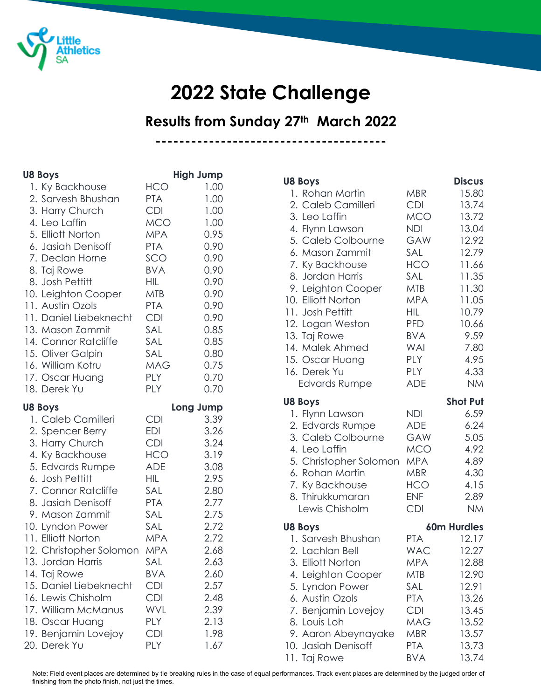

## **2022 State Challenge**

**Results from Sunday 27th March 2022**

**---------------------------------------**

| <b>U8 Boys</b>          |            | <b>High Jump</b> |
|-------------------------|------------|------------------|
| 1. Ky Backhouse         | <b>HCO</b> | 1.00             |
| 2. Sarvesh Bhushan      | <b>PTA</b> | 1.00             |
| 3. Harry Church         | <b>CDI</b> | 1.00             |
| 4. Leo Laffin           | <b>MCO</b> | 1.00             |
| 5. Elliott Norton       | <b>MPA</b> | 0.95             |
| 6. Jasiah Denisoff      | <b>PTA</b> | 0.90             |
| 7. Declan Horne         | SCO        | 0.90             |
| 8. Taj Rowe             | <b>BVA</b> | 0.90             |
| 8. Josh Pettitt         | <b>HIL</b> | 0.90             |
| 10. Leighton Cooper     | <b>MTB</b> | 0.90             |
| 11. Austin Ozols        | <b>PTA</b> | 0.90             |
| 11. Daniel Liebeknecht  | <b>CDI</b> | 0.90             |
| 13. Mason Zammit        | SAL        | 0.85             |
| 14. Connor Ratcliffe    | SAL        | 0.85             |
| 15. Oliver Galpin       | SAL        | 0.80             |
| 16. William Kotru       | <b>MAG</b> | 0.75             |
| 17. Oscar Huang         | <b>PLY</b> | 0.70             |
| 18. Derek Yu            | <b>PLY</b> | 0.70             |
| <b>U8 Boys</b>          |            | Long Jump        |
| 1. Caleb Camilleri      | <b>CDI</b> | 3.39             |
| 2. Spencer Berry        | EDI        | 3.26             |
| 3. Harry Church         | <b>CDI</b> | 3.24             |
| 4. Ky Backhouse         | <b>HCO</b> | 3.19             |
| 5. Edvards Rumpe        | <b>ADE</b> | 3.08             |
| 6. Josh Pettitt         | <b>HIL</b> | 2.95             |
| 7. Connor Ratcliffe     | SAL        | 2.80             |
| 8. Jasiah Denisoff      | <b>PTA</b> | 2.77             |
| 9. Mason Zammit         | SAL        | 2.75             |
| 10. Lyndon Power        | SAL        | 2.72             |
| 11. Elliott Norton      | <b>MPA</b> | 2.72             |
| 12. Christopher Solomon | <b>MPA</b> | 2.68             |
| 13. Jordan Harris       | SAL        | 2.63             |
| 14. Taj Rowe            | <b>BVA</b> | 2.60             |
| 15. Daniel Liebeknecht  | <b>CDI</b> | 2.57             |
| 16. Lewis Chisholm      | <b>CDI</b> | 2.48             |
| 17. William McManus     | WVL        | 2.39             |
| 18. Oscar Huang         | PLY        | 2.13             |
| 19. Benjamin Lovejoy    | CDI        | 1.98             |
| 20. Derek Yu            | PLY        | 1.67             |

| <b>U8 Boys</b>         |            | <b>Discus</b>   |
|------------------------|------------|-----------------|
| 1. Rohan Martin        | <b>MBR</b> | 15.80           |
| 2. Caleb Camilleri     | <b>CDI</b> | 13.74           |
| 3. Leo Laffin          | <b>MCO</b> | 13.72           |
| 4. Flynn Lawson        | <b>NDI</b> | 13.04           |
| 5. Caleb Colbourne     | GAW        | 12.92           |
| 6. Mason Zammit        | SAL        | 12.79           |
| 7. Ky Backhouse        | <b>HCO</b> | 11.66           |
| 8. Jordan Harris       | SAL        | 11.35           |
| 9. Leighton Cooper     | <b>MTB</b> | 11.30           |
| 10. Elliott Norton     | MPA.       | 11.05           |
| 11. Josh Pettitt       | HIL.       | 10.79           |
| 12. Logan Weston       | <b>PFD</b> | 10.66           |
| 13. Taj Rowe           | <b>BVA</b> | 9.59            |
| 14. Malek Ahmed        | <b>WAI</b> | 7.80            |
| 15. Oscar Huang        | <b>PLY</b> | 4.95            |
| 16. Derek Yu           | <b>PLY</b> | 4.33            |
| <b>Edvards Rumpe</b>   | <b>ADE</b> | <b>NM</b>       |
| <b>U8 Boys</b>         |            | <b>Shot Put</b> |
| 1. Flynn Lawson        | <b>NDI</b> | 6.59            |
| 2. Edvards Rumpe       | <b>ADE</b> | 6.24            |
| 3. Caleb Colbourne     | <b>GAW</b> | 5.05            |
| 4. Leo Laffin          | MCO        | 4.92            |
| 5. Christopher Solomon | <b>MPA</b> | 4.89            |
| 6. Rohan Martin        | <b>MBR</b> | 4.30            |
| 7. Ky Backhouse        | <b>HCO</b> | 4.15            |
| 8. Thirukkumaran       | <b>ENF</b> | 2.89            |
| Lewis Chisholm         | <b>CDI</b> | <b>NM</b>       |
| <b>U8 Boys</b>         |            | 60m Hurdles     |
| 1. Sarvesh Bhushan     | <b>PTA</b> | 12.17           |
| 2. Lachlan Bell        | <b>WAC</b> | 12.27           |
| 3. Elliott Norton      | <b>MPA</b> | 12.88           |
| 4. Leighton Cooper     | <b>MTB</b> | 12.90           |
| 5. Lyndon Power        | SAL        | 12.91           |
| 6. Austin Ozols        | <b>PTA</b> | 13.26           |
| 7. Benjamin Lovejoy    | <b>CDI</b> | 13.45           |
| 8. Louis Loh           | MAG        | 13.52           |
| 9. Aaron Abeynayake    | <b>MBR</b> | 13.57           |
| 10. Jasiah Denisoff    | <b>PTA</b> | 13.73           |
| 11. Taj Rowe           | <b>BVA</b> | 13.74           |

Note: Field event places are determined by tie breaking rules in the case of equal performances. Track event places are determined by the judged order of finishing from the photo finish, not just the times.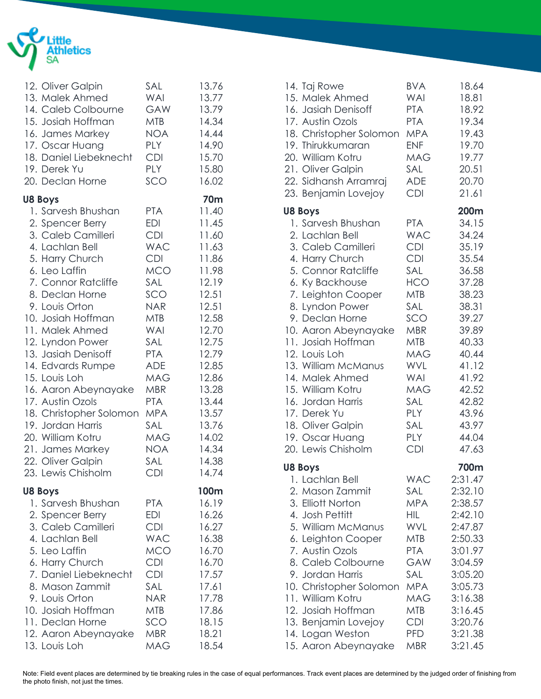

| 12. Oliver Galpin<br>13. Malek Ahmed<br>14. Caleb Colbourne<br>15. Josiah Hoffman<br>16. James Markey<br>17. Oscar Huang<br>18. Daniel Liebeknecht<br>19. Derek Yu<br>20. Declan Horne                                                                                                                                                                                                                                                                                                                          | SAL<br>WAI<br><b>GAW</b><br><b>MTB</b><br><b>NOA</b><br>PLY<br><b>CDI</b><br>PLY<br>SCO                                                                                                                                                                  | 13.76<br>13.77<br>13.79<br>14.34<br>14.44<br>14.90<br>15.70<br>15.80<br>16.02                                                                                                                                             |
|-----------------------------------------------------------------------------------------------------------------------------------------------------------------------------------------------------------------------------------------------------------------------------------------------------------------------------------------------------------------------------------------------------------------------------------------------------------------------------------------------------------------|----------------------------------------------------------------------------------------------------------------------------------------------------------------------------------------------------------------------------------------------------------|---------------------------------------------------------------------------------------------------------------------------------------------------------------------------------------------------------------------------|
| <b>U8 Boys</b><br>1. Sarvesh Bhushan<br>2. Spencer Berry<br>3. Caleb Camilleri<br>4. Lachlan Bell<br>5. Harry Church<br>6. Leo Laffin<br>7. Connor Ratcliffe<br>8. Declan Horne<br>9. Louis Orton<br>10. Josiah Hoffman<br>11. Malek Ahmed<br>12. Lyndon Power<br>13. Jasiah Denisoff<br>14. Edvards Rumpe<br>15. Louis Loh<br>16. Aaron Abeynayake<br>17. Austin Ozols<br>18. Christopher Solomon MPA<br>19. Jordan Harris<br>20. William Kotru<br>21. James Markey<br>22. Oliver Galpin<br>23. Lewis Chisholm | <b>PTA</b><br>EDI<br><b>CDI</b><br><b>WAC</b><br><b>CDI</b><br><b>MCO</b><br>SAL<br>SCO<br><b>NAR</b><br><b>MTB</b><br>WAI<br>SAL<br><b>PTA</b><br>ADE<br><b>MAG</b><br><b>MBR</b><br><b>PTA</b><br>SAL<br><b>MAG</b><br><b>NOA</b><br>SAL<br><b>CDI</b> | <b>70m</b><br>11.40<br>11.45<br>11.60<br>11.63<br>11.86<br>11.98<br>12.19<br>12.51<br>12.51<br>12.58<br>12.70<br>12.75<br>12.79<br>12.85<br>12.86<br>13.28<br>13.44<br>13.57<br>13.76<br>14.02<br>14.34<br>14.38<br>14.74 |
| <b>U8 Boys</b><br>1. Sarvesh Bhushan<br>2. Spencer Berry<br>3. Caleb Camilleri<br>4. Lachlan Bell<br>5. Leo Laffin<br>6. Harry Church<br>7. Daniel Liebeknecht<br>8. Mason Zammit<br>9. Louis Orton<br>10. Josiah Hoffman<br>11. Declan Horne<br>12. Aaron Abeynayake<br>13. Louis Loh                                                                                                                                                                                                                          | <b>PTA</b><br>EDI<br><b>CDI</b><br><b>WAC</b><br><b>MCO</b><br><b>CDI</b><br><b>CDI</b><br>SAL<br><b>NAR</b><br><b>MTB</b><br>SCO<br><b>MBR</b><br><b>MAG</b>                                                                                            | 100m<br>16.19<br>16.26<br>16.27<br>16.38<br>16.70<br>16.70<br>17.57<br>17.61<br>17.78<br>17.86<br>18.15<br>18.21<br>18.54                                                                                                 |

| 14. Taj Rowe<br>15. Malek Ahmed<br>16. Jasiah Denisoff<br>17. Austin Ozols<br>18. Christopher Solomon<br>19. Thirukkumaran<br>20. William Kotru<br>21. Oliver Galpin<br>22. Sidhansh Arramraj<br>23. Benjamin Lovejoy                                                                                                                                                                                                                   | <b>BVA</b><br><b>WAI</b><br><b>PTA</b><br><b>PTA</b><br><b>MPA</b><br><b>ENF</b><br><b>MAG</b><br>SAL<br><b>ADE</b><br><b>CDI</b>                                                                                                   | 18.64<br>18.81<br>18.92<br>19.34<br>19.43<br>19.70<br>19.77<br>20.51<br>20.70<br>21.61                                                                                                   |
|-----------------------------------------------------------------------------------------------------------------------------------------------------------------------------------------------------------------------------------------------------------------------------------------------------------------------------------------------------------------------------------------------------------------------------------------|-------------------------------------------------------------------------------------------------------------------------------------------------------------------------------------------------------------------------------------|------------------------------------------------------------------------------------------------------------------------------------------------------------------------------------------|
| <b>U8 Boys</b><br>1. Sarvesh Bhushan<br>2. Lachlan Bell<br>3. Caleb Camilleri<br>4. Harry Church<br>5. Connor Ratcliffe<br>6. Ky Backhouse<br>7. Leighton Cooper<br>8. Lyndon Power<br>9. Declan Horne<br>10. Aaron Abeynayake<br>11. Josiah Hoffman<br>12. Louis Loh<br>13. William McManus<br>14. Malek Ahmed<br>15. William Kotru<br>16. Jordan Harris<br>17. Derek Yu<br>18. Oliver Galpin<br>19. Oscar Huang<br>20. Lewis Chisholm | <b>PTA</b><br><b>WAC</b><br><b>CDI</b><br><b>CDI</b><br>SAL<br><b>HCO</b><br><b>MTB</b><br>SAL<br>SCO<br><b>MBR</b><br><b>MTB</b><br><b>MAG</b><br>WVL<br><b>WAI</b><br><b>MAG</b><br>SAL<br>PLY<br>SAL<br><b>PLY</b><br><b>CDI</b> | 200m<br>34.15<br>34.24<br>35.19<br>35.54<br>36.58<br>37.28<br>38.23<br>38.31<br>39.27<br>39.89<br>40.33<br>40.44<br>41.12<br>41.92<br>42.52<br>42.82<br>43.96<br>43.97<br>44.04<br>47.63 |
| <b>U8 Boys</b><br>1. Lachlan Bell<br>2. Mason Zammit<br>3. Elliott Norton<br>4. Josh Pettitt<br>5. William McManus<br>6. Leighton Cooper<br>7. Austin Ozols<br>8. Caleb Colbourne<br>9. Jordan Harris<br>10. Christopher Solomon<br>11. William Kotru<br>12. Josiah Hoffman<br>13. Benjamin Lovejoy<br>14. Logan Weston<br>15. Aaron Abeynayake                                                                                         | <b>WAC</b><br>SAL<br>MPA.<br>HIL<br><b>WVL</b><br>MTB<br>PTA<br>GAW<br>SAL<br><b>MPA</b><br>MAG<br>MTB<br>CDI<br>PFD.<br><b>MBR</b>                                                                                                 | 700m<br>2:31.47<br>2:32.10<br>2:38.57<br>2:42.10<br>2:47.87<br>2:50.33<br>3:01.97<br>3:04.59<br>3:05.20<br>3:05.73<br>3:16.38<br>3:16.45<br>3:20.76<br>3:21.38<br>3:21.45                |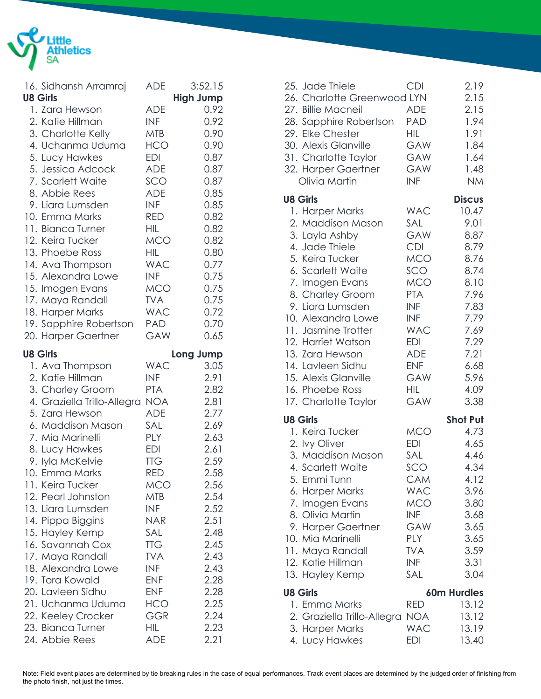

| 16. Sidhansh Arramraj                   | <b>ADE</b>               | 3:52.15          |
|-----------------------------------------|--------------------------|------------------|
| <b>U8 Girls</b>                         |                          | <b>High Jump</b> |
| 1. Zara Hewson                          | <b>ADE</b>               | 0.92             |
| 2. Katie Hillman                        | <b>INF</b>               | 0.92             |
| 3. Charlotte Kelly                      | <b>MTB</b>               | 0.90             |
| 4. Uchanma Uduma                        | <b>HCO</b>               | 0.90             |
| 5. Lucy Hawkes                          | <b>EDI</b>               | 0.87             |
| 5. Jessica Adcock                       | <b>ADE</b>               | 0.87             |
| 7. Scarlett Waite                       | SCO                      | 0.87             |
| 8. Abbie Rees                           | <b>ADE</b>               | 0.85             |
| 9. Liara Lumsden                        | <b>INF</b>               | 0.85             |
| 10. Emma Marks<br>11. Bianca Turner     | <b>RED</b><br><b>HIL</b> | 0.82<br>0.82     |
| 12. Keira Tucker                        | <b>MCO</b>               | 0.82             |
| 13. Phoebe Ross                         | <b>HIL</b>               | 0.80             |
| 14. Ava Thompson                        | <b>WAC</b>               | 0.77             |
| 15. Alexandra Lowe                      | <b>INF</b>               | 0.75             |
| 15. Imogen Evans                        | <b>MCO</b>               | 0.75             |
| 17. Maya Randall                        | <b>TVA</b>               | 0.75             |
| 18. Harper Marks                        | <b>WAC</b>               | 0.72             |
| 19. Sapphire Robertson                  | PAD                      | 0.70             |
| 20. Harper Gaertner                     | GAW                      | 0.65             |
| <b>U8 Girls</b>                         |                          | Long Jump        |
| 1. Ava Thompson                         | <b>WAC</b>               | 3.05             |
|                                         |                          |                  |
| 2. Katie Hillman                        | <b>INF</b>               | 2.91             |
| 3. Charley Groom                        | <b>PTA</b>               | 2.82             |
| 4. Graziella Trillo-Allegra             | NOA                      | 2.81             |
| 5. Zara Hewson                          | <b>ADE</b>               | 2.77             |
| 6. Maddison Mason                       | SAL                      | 2.69             |
| 7. Mia Marinelli                        | <b>PLY</b>               | 2.63             |
| 8. Lucy Hawkes                          | <b>EDI</b>               | 2.61             |
| 9. lyla McKelvie                        | <b>TTG</b>               | 2.59             |
| 10. Emma Marks                          | <b>RED</b>               | 2.58             |
| 11. Keira Tucker                        | MCO                      | 2.56             |
| 12. Pearl Johnston                      | <b>MTB</b>               | 2.54             |
| 13. Liara Lumsden                       | <b>INF</b>               | 2.52             |
| 14. Pippa Biggins                       | <b>NAR</b>               | 2.51             |
| 15. Hayley Kemp                         | SAL                      | 2.48             |
| 16. Savannah Cox                        | <b>TTG</b>               | 2.45             |
| 17. Maya Randall                        | <b>TVA</b>               | 2.43             |
| 18. Alexandra Lowe                      | INF                      | 2.43             |
| 19. Tora Kowald                         | <b>ENF</b>               | 2.28             |
| 20. Lavleen Sidhu                       | <b>ENF</b>               | 2.28             |
| 21. Uchanma Uduma                       | HCO<br>GGR               | 2.25<br>2.24     |
| 22. Keeley Crocker<br>23. Bianca Turner | HIL                      | 2.23             |

| 25. Jade Thiele<br>26. Charlotte Greenwood LYN<br>27. Billie Macneil<br>28. Sapphire Robertson<br>29. Elke Chester<br>30. Alexis Glanville<br>31. Charlotte Taylor<br>32. Harper Gaertner<br>Olivia Martin                                                                                                                                                | <b>CDI</b><br><b>ADE</b><br><b>PAD</b><br><b>HIL</b><br><b>GAW</b><br>GAW<br>GAW<br><b>INF</b>                                                                                            | 2.19<br>2.15<br>2.15<br>1.94<br>1.91<br>1.84<br>1.64<br>1.48<br><b>NM</b>                                                             |
|-----------------------------------------------------------------------------------------------------------------------------------------------------------------------------------------------------------------------------------------------------------------------------------------------------------------------------------------------------------|-------------------------------------------------------------------------------------------------------------------------------------------------------------------------------------------|---------------------------------------------------------------------------------------------------------------------------------------|
| <b>U8 Girls</b>                                                                                                                                                                                                                                                                                                                                           |                                                                                                                                                                                           | <b>Discus</b>                                                                                                                         |
| 1. Harper Marks<br>2. Maddison Mason<br>3. Layla Ashby<br>4. Jade Thiele<br>5. Keira Tucker<br>6. Scarlett Waite<br>7. Imogen Evans<br>8. Charley Groom<br>9. Liara Lumsden<br>10. Alexandra Lowe<br>11. Jasmine Trotter<br>12. Harriet Watson<br>13. Zara Hewson<br>14. Lavleen Sidhu<br>15. Alexis Glanville<br>16. Phoebe Ross<br>17. Charlotte Taylor | <b>WAC</b><br>SAL<br>GAW<br><b>CDI</b><br><b>MCO</b><br>SCO<br><b>MCO</b><br><b>PTA</b><br>INF<br><b>INF</b><br><b>WAC</b><br><b>EDI</b><br><b>ADE</b><br><b>ENF</b><br>GAW<br>HIL<br>GAW | 10.47<br>9.01<br>8.87<br>8.79<br>8.76<br>8.74<br>8.10<br>7.96<br>7.83<br>7.79<br>7.69<br>7.29<br>7.21<br>6.68<br>5.96<br>4.09<br>3.38 |
| <b>U8 Girls</b>                                                                                                                                                                                                                                                                                                                                           |                                                                                                                                                                                           | <b>Shot Put</b>                                                                                                                       |
| 1. Keira Tucker<br>2. Ivy Oliver<br>3. Maddison Mason<br>4. Scarlett Waite<br>5. Emmi Tunn<br>6. Harper Marks<br>7. Imogen Evans<br>8. Olivia Martin<br>9. Harper Gaertner<br>10. Mia Marinelli<br>11. Maya Randall<br>12. Katie Hillman<br>13. Hayley Kemp                                                                                               | <b>MCO</b><br>EDI<br>SAL<br>SCO<br>CAM<br><b>WAC</b><br><b>MCO</b><br><b>INF</b><br>GAW<br>PLY<br><b>TVA</b><br><b>INF</b><br>SAL                                                         | 4.73<br>4.65<br>4.46<br>4.34<br>4.12<br>3.96<br>3.80<br>3.68<br>3.65<br>3.65<br>3.59<br>3.31<br>3.04                                  |
| <b>U8 Girls</b>                                                                                                                                                                                                                                                                                                                                           |                                                                                                                                                                                           | <b>60m Hurdles</b>                                                                                                                    |
| 1. Emma Marks<br>2. Graziella Trillo-Allegra<br>3. Harper Marks<br>4. Lucy Hawkes                                                                                                                                                                                                                                                                         | <b>RED</b><br>NOA<br><b>WAC</b><br><b>EDI</b>                                                                                                                                             | 13.12<br>13.12<br>13.19<br>13.40                                                                                                      |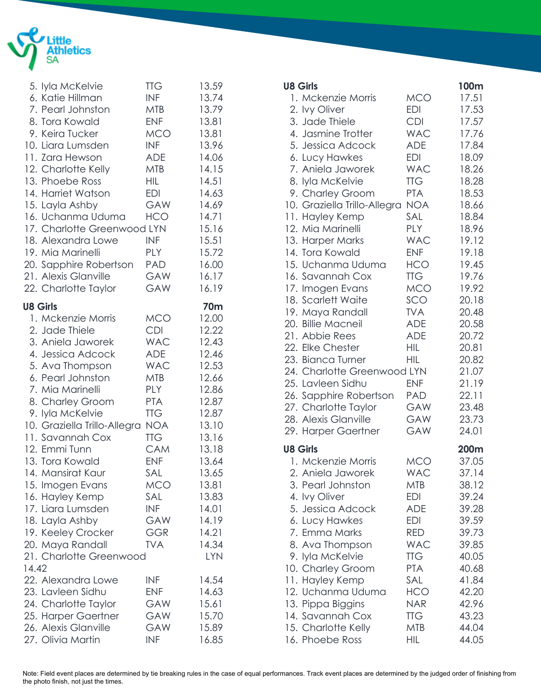

|       | 5. Iyla McKelvie<br>6. Katie Hillman<br>7. Pearl Johnston<br>8. Tora Kowald<br>9. Keira Tucker<br>10. Liara Lumsden<br>11. Zara Hewson<br>12. Charlotte Kelly<br>13. Phoebe Ross<br>14. Harriet Watson<br>15. Layla Ashby<br>16. Uchanma Uduma<br>17. Charlotte Greenwood LYN<br>18. Alexandra Lowe<br>19. Mia Marinelli<br>20. Sapphire Robertson<br>21. Alexis Glanville<br>22. Charlotte Taylor                                                                     | <b>TTG</b><br><b>INF</b><br>MTB<br><b>ENF</b><br><b>MCO</b><br>INF<br><b>ADE</b><br><b>MTB</b><br><b>HIL</b><br><b>EDI</b><br><b>GAW</b><br>HCO<br><b>INF</b><br><b>PLY</b><br>PAD<br>GAW<br><b>GAW</b>                                           | 13.59<br>13.74<br>13.79<br>13.81<br>13.81<br>13.96<br>14.06<br>14.15<br>14.51<br>14.63<br>14.69<br>14.71<br>15.16<br>15.51<br>15.72<br>16.00<br>16.17<br>16.19                                               |
|-------|------------------------------------------------------------------------------------------------------------------------------------------------------------------------------------------------------------------------------------------------------------------------------------------------------------------------------------------------------------------------------------------------------------------------------------------------------------------------|---------------------------------------------------------------------------------------------------------------------------------------------------------------------------------------------------------------------------------------------------|--------------------------------------------------------------------------------------------------------------------------------------------------------------------------------------------------------------|
| 14.42 | <b>U8 Girls</b><br>1. Mckenzie Morris<br>2. Jade Thiele<br>3. Aniela Jaworek<br>4. Jessica Adcock<br>5. Ava Thompson<br>6. Pearl Johnston<br>7. Mia Marinelli<br>8. Charley Groom<br>9. lyla McKelvie<br>10. Graziella Trillo-Allegra<br>11. Savannah Cox<br>12. Emmi Tunn<br>13. Tora Kowald<br>14. Mansirat Kaur<br>15. Imogen Evans<br>16. Hayley Kemp<br>17. Liara Lumsden<br>18. Layla Ashby<br>19. Keeley Crocker<br>20. Maya Randall<br>21. Charlotte Greenwood | <b>MCO</b><br><b>CDI</b><br><b>WAC</b><br><b>ADE</b><br><b>WAC</b><br><b>MTB</b><br><b>PLY</b><br><b>PTA</b><br><b>TTG</b><br><b>NOA</b><br><b>TTG</b><br>CAM<br><b>ENF</b><br>SAL<br><b>MCO</b><br>SAL<br><b>INF</b><br>GAW<br>GGR<br><b>TVA</b> | <b>70m</b><br>12.00<br>12.22<br>12.43<br>12.46<br>12.53<br>12.66<br>12.86<br>12.87<br>12.87<br>13.10<br>13.16<br>13.18<br>13.64<br>13.65<br>13.81<br>13.83<br>14.01<br>14.19<br>14.21<br>14.34<br><b>LYN</b> |
|       | 22. Alexandra Lowe<br>23. Lavleen Sidhu<br>24. Charlotte Taylor<br>25. Harper Gaertner<br>26. Alexis Glanville<br>27. Olivia Martin                                                                                                                                                                                                                                                                                                                                    | <b>INF</b><br><b>ENF</b><br><b>GAW</b><br><b>GAW</b><br>GAW<br><b>INF</b>                                                                                                                                                                         | 14.54<br>14.63<br>15.61<br>15.70<br>15.89<br>16.85                                                                                                                                                           |

| <b>U8 Girls</b>              |            | 100m  |
|------------------------------|------------|-------|
| 1. Mckenzie Morris           | <b>MCO</b> | 17.51 |
| 2. Ivy Oliver                | EDI        | 17.53 |
| 3. Jade Thiele               | <b>CDI</b> | 17.57 |
| 4. Jasmine Trotter           | <b>WAC</b> | 17.76 |
| 5. Jessica Adcock            | <b>ADE</b> | 17.84 |
| 6. Lucy Hawkes               | <b>EDI</b> | 18.09 |
| 7. Aniela Jaworek            | <b>WAC</b> | 18.26 |
| 8. lyla McKelvie             | <b>TTG</b> | 18.28 |
| 9. Charley Groom             | <b>PTA</b> | 18.53 |
| 10. Graziella Trillo-Allegra | <b>NOA</b> | 18.66 |
| 11. Hayley Kemp              | SAL        | 18.84 |
| 12. Mia Marinelli            | PLY        | 18.96 |
| 13. Harper Marks             | <b>WAC</b> | 19.12 |
| 14. Tora Kowald              | <b>ENF</b> | 19.18 |
| 15. Uchanma Uduma            | HCO        | 19.45 |
| 16. Savannah Cox             | <b>TTG</b> | 19.76 |
| 17. Imogen Evans             | <b>MCO</b> | 19.92 |
| 18. Scarlett Waite           | SCO        | 20.18 |
| 19. Maya Randall             | <b>TVA</b> | 20.48 |
| 20. Billie Macneil           | <b>ADE</b> | 20.58 |
| 21. Abbie Rees               | <b>ADE</b> | 20.72 |
| 22. Elke Chester             | HIL        | 20.81 |
| 23. Bianca Turner            | <b>HIL</b> | 20.82 |
| 24. Charlotte Greenwood LYN  |            | 21.07 |
| 25. Lavleen Sidhu            | <b>ENF</b> | 21.19 |
| 26. Sapphire Robertson       | PAD        | 22.11 |
| 27. Charlotte Taylor         | GAW        | 23.48 |
| 28. Alexis Glanville         | GAW        | 23.73 |
| 29. Harper Gaertner          | GAW        | 24.01 |
|                              |            |       |
| <b>U8 Girls</b>              |            | 200m  |
| 1. Mckenzie Morris           | <b>MCO</b> | 37.05 |
| 2. Aniela Jaworek            | <b>WAC</b> | 37.14 |
| 3. Pearl Johnston            | MTB        | 38.12 |
| 4. Ivy Oliver                | EDI        | 39.24 |
| 5. Jessica Adcock            | <b>ADE</b> | 39.28 |
| 6. Lucy Hawkes               | EDI        | 39.59 |
| 7. Emma Marks                | RED        | 39.73 |
| 8. Ava Thompson              | <b>WAC</b> | 39.85 |
| 9. lyla McKelvie             | <b>TTG</b> | 40.05 |
| 10. Charley Groom            | <b>PTA</b> | 40.68 |
| 11. Hayley Kemp              | SAL        | 41.84 |
| 12. Uchanma Uduma            | <b>HCO</b> | 42.20 |
| 13. Pippa Biggins            | <b>NAR</b> | 42.96 |
| 14. Savannah Cox             | <b>TTG</b> | 43.23 |
| 15. Charlotte Kelly          | <b>MTB</b> | 44.04 |
| 16. Phoebe Ross              | HIL        | 44.05 |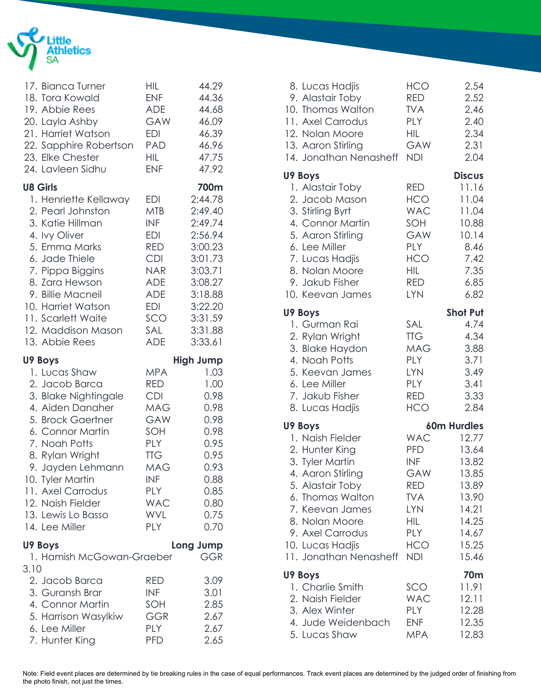

| 17. Bianca Turner<br>18. Tora Kowald<br>19. Abbie Rees | <b>HIL</b><br><b>ENF</b><br>ADE | 44.29<br>44.36<br>44.68 |
|--------------------------------------------------------|---------------------------------|-------------------------|
| 20. Layla Ashby                                        | <b>GAW</b>                      | 46.09                   |
| 21. Harriet Watson                                     | <b>EDI</b>                      | 46.39                   |
| 22. Sapphire Robertson                                 | PAD                             | 46.96                   |
| 23. Elke Chester<br>24. Lavleen Sidhu                  | HIL<br><b>ENF</b>               | 47.75<br>47.92          |
| <b>U8 Girls</b>                                        |                                 | 700m                    |
| 1. Henriette Kellaway                                  | EDI                             | 2:44.78                 |
| 2. Pearl Johnston                                      | <b>MTB</b>                      | 2:49.40                 |
| 3. Katie Hillman                                       | <b>INF</b>                      | 2:49.74                 |
| 4. Ivy Oliver                                          | EDI                             | 2:56.94                 |
| 5. Emma Marks                                          | <b>RED</b>                      | 3:00.23                 |
| 6. Jade Thiele                                         | <b>CDI</b>                      | 3:01.73                 |
| 7. Pippa Biggins                                       | <b>NAR</b>                      | 3:03.71                 |
| 8. Zara Hewson<br>9. Billie Macneil                    | <b>ADE</b><br><b>ADE</b>        | 3:08.27                 |
| 10. Harriet Watson                                     | <b>EDI</b>                      | 3:18.88<br>3:22.20      |
| 11. Scarlett Waite                                     | SCO                             | 3:31.59                 |
| 12. Maddison Mason                                     | SAL                             | 3:31.88                 |
| 13. Abbie Rees                                         | <b>ADE</b>                      | 3:33.61                 |
| U9 Boys                                                |                                 | <b>High Jump</b>        |
| 1. Lucas Shaw                                          | <b>MPA</b>                      | 1.03                    |
| 2. Jacob Barca                                         | RED                             | 1.00                    |
| 3. Blake Nightingale                                   | <b>CDI</b>                      | 0.98                    |
| 4. Aiden Danaher                                       | <b>MAG</b>                      | 0.98                    |
| 5. Brock Gaertner                                      | GAW                             | 0.98                    |
| 6. Connor Martin                                       | SOH                             | 0.98                    |
| 7. Noah Potts                                          | <b>PLY</b>                      | 0.95                    |
| 8. Rylan Wright                                        | <b>TTG</b>                      | 0.95                    |
| 9. Jayden Lehmann                                      | <b>MAG</b><br><b>INF</b>        | 0.93<br>0.88            |
| 10. Tyler Martin<br>11. Axel Carrodus                  | <b>PLY</b>                      | 0.85                    |
| 12. Naish Fielder                                      | <b>WAC</b>                      | 0.80                    |
| 13. Lewis Lo Basso                                     | <b>WVL</b>                      | 0.75                    |
| 14. Lee Miller                                         | <b>PLY</b>                      | 0.70                    |
| U9 Boys                                                |                                 | Long Jump               |
| 1. Hamish McGowan-Graeber                              |                                 | GGR                     |
| 3.10                                                   |                                 |                         |
| 2. Jacob Barca                                         | <b>RED</b>                      | 3.09                    |
| 3. Guransh Brar                                        | <b>INF</b>                      | 3.01                    |
| 4. Connor Martin                                       | SOH                             | 2.85                    |
| 5. Harrison Wasylkiw                                   | GGR                             | 2.67                    |
| 6. Lee Miller                                          | <b>PLY</b>                      | 2.67                    |
| 7. Hunter King                                         | <b>PFD</b>                      | 2.65                    |

| 8. Lucas Hadjis<br>9. Alastair Toby<br>10. Thomas Walton<br>11. Axel Carrodus<br>12. Nolan Moore<br>13. Aaron Stirling<br>14. Jonathan Nenasheff                                                                                     | <b>HCO</b><br><b>RED</b><br><b>TVA</b><br><b>PLY</b><br><b>HIL</b><br>GAW<br><b>NDI</b>                             | 2.54<br>2.52<br>2.46<br>2.40<br>2.34<br>2.31<br>2.04                                                                      |
|--------------------------------------------------------------------------------------------------------------------------------------------------------------------------------------------------------------------------------------|---------------------------------------------------------------------------------------------------------------------|---------------------------------------------------------------------------------------------------------------------------|
| U9 Boys<br>1. Alastair Toby<br>2. Jacob Mason<br>3. Stirling Byrt<br>4. Connor Martin<br>5. Aaron Stirling<br>6. Lee Miller<br>7. Lucas Hadjis<br>8. Nolan Moore<br>9. Jakub Fisher<br>10. Keevan James                              | RED<br><b>HCO</b><br><b>WAC</b><br>SOH<br>GAW<br>PLY<br><b>HCO</b><br><b>HIL</b><br>RED<br><b>LYN</b>               | <b>Discus</b><br>11.16<br>11.04<br>11.04<br>10.88<br>10.14<br>8.46<br>7.42<br>7.35<br>6.85<br>6.82                        |
| U9 Boys<br>1. Gurman Rai<br>2. Rylan Wright<br>3. Blake Haydon<br>4. Noah Potts<br>5. Keevan James<br>6. Lee Miller<br>7. Jakub Fisher<br>8. Lucas Hadjis                                                                            | SAL<br><b>TTG</b><br><b>MAG</b><br><b>PLY</b><br><b>LYN</b><br><b>PLY</b><br><b>RED</b><br><b>HCO</b>               | <b>Shot Put</b><br>4.74<br>4.34<br>3.88<br>3.71<br>3.49<br>3.41<br>3.33<br>2.84                                           |
| U9 Boys<br>1. Naish Fielder<br>2. Hunter King<br>3. Tyler Martin<br>4. Aaron Stirling<br>5. Alastair Toby<br>6. Thomas Walton<br>7. Keevan James<br>8. Nolan Moore<br>9. Axel Carrodus<br>10. Lucas Hadjis<br>11. Jonathan Nenasheff | <b>PFD</b><br><b>INF</b><br>GAW<br>RED<br><b>TVA</b><br><b>LYN</b><br><b>HIL</b><br><b>PLY</b><br>HCO<br><b>NDI</b> | <b>60m Hurdles</b><br>WAC 12.77<br>13.64<br>13.82<br>13.85<br>13.89<br>13.90<br>14.21<br>14.25<br>14.67<br>15.25<br>15.46 |
| U9 Boys<br>1. Charlie Smith<br>2. Naish Fielder<br>3. Alex Winter<br>4. Jude Weidenbach<br>5. Lucas Shaw                                                                                                                             | SCO<br><b>WAC</b><br><b>PLY</b><br><b>ENF</b><br><b>MPA</b>                                                         | 70m<br>11.91<br>12.11<br>12.28<br>12.35<br>12.83                                                                          |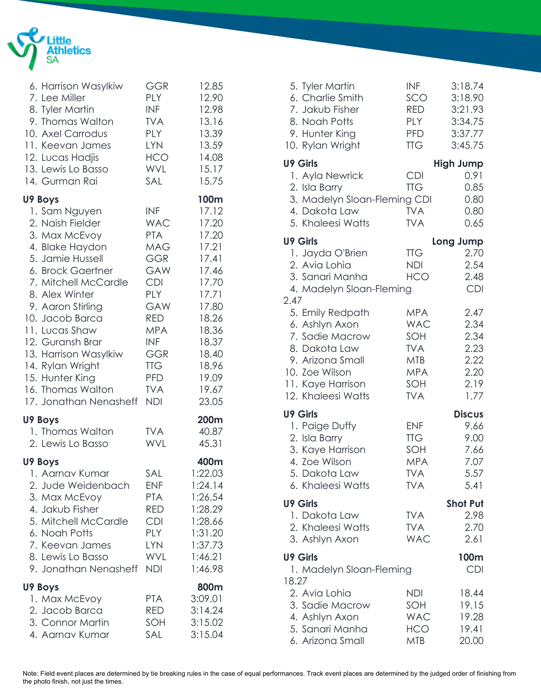

| 6. Harrison Wasylkiw                                                                                                                                                                           | <b>GGR</b>                                                                                            | 12.85                                                                                                   |
|------------------------------------------------------------------------------------------------------------------------------------------------------------------------------------------------|-------------------------------------------------------------------------------------------------------|---------------------------------------------------------------------------------------------------------|
| 7. Lee Miller                                                                                                                                                                                  | <b>PLY</b>                                                                                            | 12.90                                                                                                   |
| 8. Tyler Martin                                                                                                                                                                                | <b>INF</b>                                                                                            | 12.98                                                                                                   |
| 9. Thomas Walton                                                                                                                                                                               | <b>TVA</b>                                                                                            | 13.16                                                                                                   |
| 10. Axel Carrodus                                                                                                                                                                              | PLY                                                                                                   | 13.39                                                                                                   |
| 11. Keevan James                                                                                                                                                                               | <b>LYN</b>                                                                                            | 13.59                                                                                                   |
| 12. Lucas Hadjis                                                                                                                                                                               | <b>HCO</b>                                                                                            | 14.08                                                                                                   |
| 13. Lewis Lo Basso                                                                                                                                                                             | WVL                                                                                                   | 15.17                                                                                                   |
| 14. Gurman Rai                                                                                                                                                                                 | SAL                                                                                                   | 15.75                                                                                                   |
| U9 Boys                                                                                                                                                                                        |                                                                                                       | 100m                                                                                                    |
| 1. Sam Nguyen                                                                                                                                                                                  | <b>INF</b>                                                                                            | 17.12                                                                                                   |
| 2. Naish Fielder                                                                                                                                                                               | WAC                                                                                                   | 17.20                                                                                                   |
| 3. Max McEvoy                                                                                                                                                                                  | <b>PTA</b>                                                                                            | 17.20                                                                                                   |
| 4. Blake Haydon                                                                                                                                                                                | MAG                                                                                                   | 17.21                                                                                                   |
| 5. Jamie Hussell                                                                                                                                                                               | <b>GGR</b>                                                                                            | 17.41                                                                                                   |
| 6. Brock Gaertner                                                                                                                                                                              | <b>GAW</b>                                                                                            | 17.46                                                                                                   |
| 7. Mitchell McCardle                                                                                                                                                                           | <b>CDI</b>                                                                                            | 17.70                                                                                                   |
| 8. Alex Winter                                                                                                                                                                                 | <b>PLY</b>                                                                                            | 17.71                                                                                                   |
| 9. Aaron Stirling                                                                                                                                                                              | GAW                                                                                                   | 17.80                                                                                                   |
| 10. Jacob Barca                                                                                                                                                                                | RED                                                                                                   | 18.26                                                                                                   |
| 11. Lucas Shaw                                                                                                                                                                                 | <b>MPA</b>                                                                                            | 18.36                                                                                                   |
| 12. Guransh Brar                                                                                                                                                                               | INF                                                                                                   | 18.37                                                                                                   |
| 13. Harrison Wasylkiw                                                                                                                                                                          | <b>GGR</b>                                                                                            | 18.40                                                                                                   |
| 14. Rylan Wright                                                                                                                                                                               | <b>TTG</b>                                                                                            | 18.96                                                                                                   |
| 15. Hunter King                                                                                                                                                                                | <b>PFD</b>                                                                                            | 19.09                                                                                                   |
| 16. Thomas Walton                                                                                                                                                                              | <b>TVA</b>                                                                                            | 19.67                                                                                                   |
| 17. Jonathan Nenasheff                                                                                                                                                                         | <b>NDI</b>                                                                                            | 23.05                                                                                                   |
| U9 Boys                                                                                                                                                                                        |                                                                                                       | 200m                                                                                                    |
| 1. Thomas Walton                                                                                                                                                                               | <b>TVA</b>                                                                                            | 40.87                                                                                                   |
| 2. Lewis Lo Basso                                                                                                                                                                              | <b>WVL</b>                                                                                            | 45.31                                                                                                   |
| U9 Boys<br>1. Aarnav Kumar<br>2. Jude Weidenbach<br>3. Max McEvoy<br>4. Jakub Fisher<br>5. Mitchell McCardle<br>6. Noah Potts<br>7. Keevan James<br>8. Lewis Lo Basso<br>9. Jonathan Nenasheff | SAL<br><b>ENF</b><br><b>PTA</b><br>RED<br><b>CDI</b><br><b>PLY</b><br><b>LYN</b><br>WVL<br><b>NDI</b> | 400m<br>1:22.03<br>1:24.14<br>1:26.54<br>1:28.29<br>1:28.66<br>1:31.20<br>1:37.73<br>1:46.21<br>1:46.98 |
| <b>U9 Boys</b>                                                                                                                                                                                 |                                                                                                       | 800m                                                                                                    |
| 1. Max McEvoy                                                                                                                                                                                  | PTA.                                                                                                  | 3:09.01                                                                                                 |
| 2. Jacob Barca                                                                                                                                                                                 | RED                                                                                                   | 3:14.24                                                                                                 |
| 3. Connor Martin                                                                                                                                                                               | SOH                                                                                                   | 3:15.02                                                                                                 |
| 4. Aarnav Kumar                                                                                                                                                                                | SAL                                                                                                   | 3:15.04                                                                                                 |

| 5. Tyler Martin<br>6. Charlie Smith<br>7. Jakub Fisher<br>8. Noah Potts<br>9. Hunter King<br>10. Rylan Wright                                                   | <b>INF</b><br>SCO<br>RED<br><b>PLY</b><br><b>PFD</b><br><b>TTG</b>                             | 3:18.74<br>3:18.90<br>3:21.93<br>3:34.75<br>3:37.77<br>3:45.75 |
|-----------------------------------------------------------------------------------------------------------------------------------------------------------------|------------------------------------------------------------------------------------------------|----------------------------------------------------------------|
| <b>U9 Girls</b><br>1. Ayla Newrick<br>2. Isla Barry<br>3. Madelyn Sloan-Fleming CDI<br>4. Dakota Law<br>5. Khaleesi Watts                                       | <b>CDI</b><br><b>TTG</b><br><b>TVA</b><br><b>TVA</b>                                           | <b>High Jump</b><br>0.91<br>0.85<br>0.80<br>0.80<br>0.65       |
| <b>U9 Girls</b><br>1. Jayda O'Brien<br>2. Avia Lohia<br>3. Sanari Manha<br>4. Madelyn Sloan-Fleming                                                             | <b>TTG</b><br><b>NDI</b><br><b>HCO</b>                                                         | Long Jump<br>2.70<br>2.54<br>2.48<br><b>CDI</b>                |
| 2.47<br>5. Emily Redpath<br>6. Ashlyn Axon<br>7. Sadie Macrow<br>8. Dakota Law<br>9. Arizona Small<br>10. Zoe Wilson<br>11. Kaye Harrison<br>12. Khaleesi Watts | <b>MPA</b><br><b>WAC</b><br>SOH<br><b>TVA</b><br><b>MTB</b><br><b>MPA</b><br>SOH<br><b>TVA</b> | 2.47<br>2.34<br>2.34<br>2.23<br>2.22<br>2.20<br>2.19<br>1.77   |
| <b>U9 Girls</b><br>1. Paige Duffy<br>2. Isla Barry<br>3. Kaye Harrison<br>4. Zoe Wilson<br>5. Dakota Law<br>6. Khaleesi Watts                                   | <b>ENF</b><br><b>TTG</b><br>SOH<br><b>MPA</b><br><b>TVA</b><br><b>TVA</b>                      | <b>Discus</b><br>9.66<br>9.00<br>7.66<br>7.07<br>5.57<br>5.41  |
| <b>U9 Girls</b><br>1. Dakota Law<br>2. Khaleesi Watts                                                                                                           | <b>TVA</b><br><b>TVA</b>                                                                       | <b>Shot Put</b><br>2.98<br>2.70                                |
| 3. Ashlyn Axon<br><b>U9 Girls</b><br>1. Madelyn Sloan-Fleming                                                                                                   | <b>WAC</b>                                                                                     | 2.61<br>100m<br><b>CDI</b>                                     |
| 18.27<br>2. Avia Lohia<br>3. Sadie Macrow<br>4. Ashlyn Axon<br>5. Sanari Manha<br>6. Arizona Small                                                              | NDI<br>SOH<br><b>WAC</b><br><b>HCO</b><br><b>MTB</b>                                           | 18.44<br>19.15<br>19.28<br>19.41<br>20.00                      |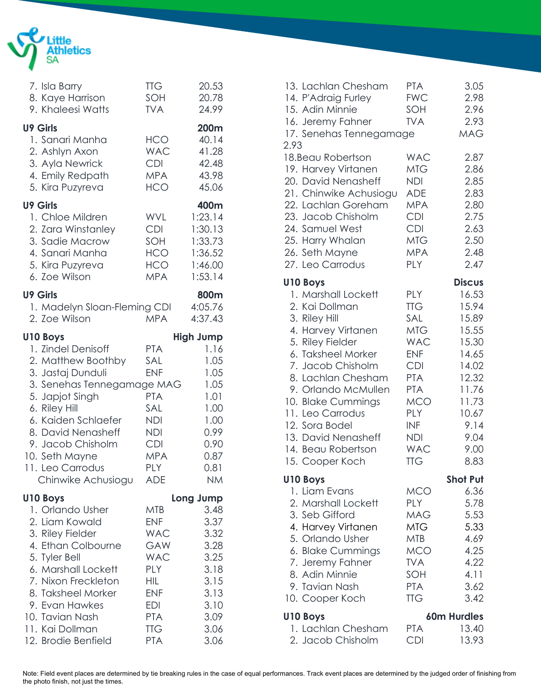

| 7. Isla Barry<br>8. Kaye Harrison<br>9. Khaleesi Watts                                                                                                                                                                                                                           | <b>TTG</b><br>SOH<br><b>TVA</b>                                                                                                                        | 20.53<br>20.78<br>24.99                                                                                        |
|----------------------------------------------------------------------------------------------------------------------------------------------------------------------------------------------------------------------------------------------------------------------------------|--------------------------------------------------------------------------------------------------------------------------------------------------------|----------------------------------------------------------------------------------------------------------------|
| <b>U9 Girls</b><br>1. Sanari Manha<br>2. Ashlyn Axon<br>3. Ayla Newrick<br>4. Emily Redpath<br>5. Kira Puzyreva                                                                                                                                                                  | HCO<br><b>WAC</b><br><b>CDI</b><br><b>MPA</b><br><b>HCO</b>                                                                                            | 200m<br>40.14<br>41.28<br>42.48<br>43.98<br>45.06                                                              |
| <b>U9 Girls</b><br>1. Chloe Mildren<br>2. Zara Winstanley<br>3. Sadie Macrow<br>4. Sanari Manha<br>5. Kira Puzyreva<br>6. Zoe Wilson                                                                                                                                             | <b>WVL</b><br><b>CDI</b><br>SOH<br><b>HCO</b><br>HCO<br><b>MPA</b>                                                                                     | 400m<br>1:23.14<br>1:30.13<br>1:33.73<br>1:36.52<br>1:46.00<br>1:53.14                                         |
| <b>U9 Girls</b><br>1. Madelyn Sloan-Fleming CDI<br>2. Zoe Wilson                                                                                                                                                                                                                 | <b>MPA</b>                                                                                                                                             | 800m<br>4:05.76<br>4:37.43                                                                                     |
| <b>U10 Boys</b><br>1. Zindel Denisoff<br>2. Matthew Boothby<br>3. Jastaj Dunduli<br>3. Senehas Tennegamage MAG<br>5. Japjot Singh<br>6. Riley Hill<br>6. Kaiden Schlaefer<br>8. David Nenasheff<br>9. Jacob Chisholm<br>10. Seth Mayne<br>11. Leo Carrodus<br>Chinwike Achusiogu | <b>PTA</b><br>SAL<br><b>ENF</b><br><b>PTA</b><br>SAL<br><b>NDI</b><br><b>NDI</b><br><b>CDI</b><br><b>MPA</b><br>PLY<br><b>ADE</b>                      | <b>High Jump</b><br>1.16<br>1.05<br>1.05<br>1.05<br>1.01<br>1.00<br>1.00<br>0.99<br>0.90<br>0.87<br>0.81<br>NΜ |
| <b>U10 Boys</b><br>1. Orlando Usher<br>2. Liam Kowald<br>3. Riley Fielder<br>4. Ethan Colbourne<br>5. Tyler Bell<br>6. Marshall Lockett<br>7. Nixon Freckleton<br>8. Taksheel Morker<br>9. Evan Hawkes<br>10. Tavian Nash<br>11. Kai Dollman<br>12. Brodie Benfield              | <b>MTB</b><br><b>ENF</b><br><b>WAC</b><br>GAW<br><b>WAC</b><br><b>PLY</b><br>HIL<br><b>ENF</b><br><b>EDI</b><br><b>PTA</b><br><b>TTG</b><br><b>PTA</b> | Long Jump<br>3.48<br>3.37<br>3.32<br>3.28<br>3.25<br>3.18<br>3.15<br>3.13<br>3.10<br>3.09<br>3.06<br>3.06      |

| 13. Lachlan Chesham<br>14. P'Adraig Furley<br>15. Adin Minnie<br>16. Jeremy Fahner<br>17. Senehas Tennegamage<br>2.93                                                                                                                                                                                                            | <b>PTA</b><br><b>FWC</b><br>SOH<br><b>TVA</b>                                                                                                                                                           | 3.05<br>2.98<br>2.96<br>2.93<br><b>MAG</b>                                                                                                       |
|----------------------------------------------------------------------------------------------------------------------------------------------------------------------------------------------------------------------------------------------------------------------------------------------------------------------------------|---------------------------------------------------------------------------------------------------------------------------------------------------------------------------------------------------------|--------------------------------------------------------------------------------------------------------------------------------------------------|
| 18. Beau Robertson<br>19. Harvey Virtanen<br>20. David Nenasheff<br>21. Chinwike Achusiogu<br>22. Lachlan Goreham<br>23. Jacob Chisholm<br>24. Samuel West<br>25. Harry Whalan<br>26. Seth Mayne<br>27. Leo Carrodus                                                                                                             | <b>WAC</b><br><b>MTG</b><br>NDI.<br><b>ADE</b><br><b>MPA</b><br><b>CDI</b><br><b>CDI</b><br><b>MTG</b><br><b>MPA</b><br><b>PLY</b>                                                                      | 2.87<br>2.86<br>2.85<br>2.83<br>2.80<br>2.75<br>2.63<br>2.50<br>2.48<br>2.47                                                                     |
| U10 Boys<br>1. Marshall Lockett<br>2. Kai Dollman<br>3. Riley Hill<br>4. Harvey Virtanen<br>5. Riley Fielder<br>6. Taksheel Morker<br>7. Jacob Chisholm<br>8. Lachlan Chesham<br>9. Orlando McMullen<br>10. Blake Cummings<br>11. Leo Carrodus<br>12. Sora Bodel<br>13. David Nenasheff<br>14. Beau Robertson<br>15. Cooper Koch | <b>PLY</b><br><b>TTG</b><br>SAL<br><b>MTG</b><br><b>WAC</b><br><b>ENF</b><br><b>CDI</b><br><b>PTA</b><br><b>PTA</b><br><b>MCO</b><br><b>PLY</b><br><b>INF</b><br><b>NDI</b><br><b>WAC</b><br><b>TTG</b> | <b>Discus</b><br>16.53<br>15.94<br>15.89<br>15.55<br>15.30<br>14.65<br>14.02<br>12.32<br>11.76<br>11.73<br>10.67<br>9.14<br>9.04<br>9.00<br>8.83 |
| U10 Boys<br>1. Liam Evans<br>2. Marshall Lockett<br>3. Seb Gifford<br>4. Harvey Virtanen<br>5. Orlando Usher<br>6. Blake Cummings<br>7. Jeremy Fahner<br>8. Adin Minnie<br>9. Tavian Nash<br>10. Cooper Koch                                                                                                                     | MCO<br>PLY<br><b>MAG</b><br><b>MTG</b><br><b>MTB</b><br><b>MCO</b><br><b>TVA</b><br>SOH<br><b>PTA</b><br><b>TTG</b>                                                                                     | <b>Shot Put</b><br>6.36<br>5.78<br>5.53<br>5.33<br>4.69<br>4.25<br>4.22<br>4.11<br>3.62<br>3.42                                                  |
| U10 Boys<br>1. Lachlan Chesham<br>2. Jacob Chisholm                                                                                                                                                                                                                                                                              | <b>PTA</b><br><b>CDI</b>                                                                                                                                                                                | 60m Hurdles<br>13.40<br>13.93                                                                                                                    |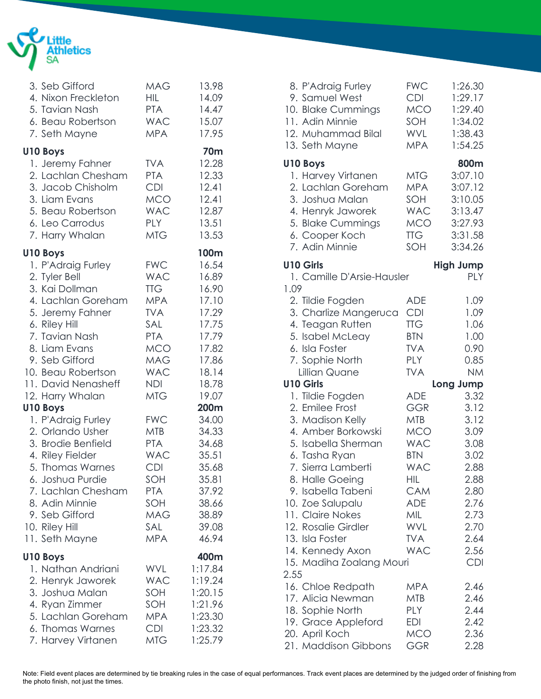

| 3. Seb Gifford<br>4. Nixon Freckleton<br>5. Tavian Nash<br>6. Beau Robertson<br>7. Seth Mayne                                                                                                                                                      | <b>MAG</b><br>HIL<br><b>PTA</b><br><b>WAC</b><br><b>MPA</b>                                                                                     | 13.98<br>14.09<br>14.47<br>15.07<br>17.95                                                                        |
|----------------------------------------------------------------------------------------------------------------------------------------------------------------------------------------------------------------------------------------------------|-------------------------------------------------------------------------------------------------------------------------------------------------|------------------------------------------------------------------------------------------------------------------|
| U10 Boys<br>1. Jeremy Fahner<br>2. Lachlan Chesham<br>3. Jacob Chisholm<br>3. Liam Evans<br>5. Beau Robertson<br>6. Leo Carrodus<br>7. Harry Whalan                                                                                                | <b>TVA</b><br><b>PTA</b><br><b>CDI</b><br><b>MCO</b><br><b>WAC</b><br>PLY<br>MTG                                                                | <b>70m</b><br>12.28<br>12.33<br>12.41<br>12.41<br>12.87<br>13.51<br>13.53                                        |
| U10 Boys<br>1. P'Adraig Furley<br>2. Tyler Bell<br>3. Kai Dollman<br>4. Lachlan Goreham<br>5. Jeremy Fahner<br>6. Riley Hill<br>7. Tavian Nash<br>8. Liam Evans<br>9. Seb Gifford<br>10. Beau Robertson<br>11. David Nenasheff<br>12. Harry Whalan | <b>FWC</b><br><b>WAC</b><br><b>TTG</b><br><b>MPA</b><br><b>TVA</b><br>SAL<br><b>PTA</b><br><b>MCO</b><br>MAG<br><b>WAC</b><br>NDI<br><b>MTG</b> | 100m<br>16.54<br>16.89<br>16.90<br>17.10<br>17.29<br>17.75<br>17.79<br>17.82<br>17.86<br>18.14<br>18.78<br>19.07 |
| <b>U10 Boys</b><br>1. P'Adraig Furley<br>2. Orlando Usher<br>3. Brodie Benfield<br>4. Riley Fielder<br>5. Thomas Warnes<br>6. Joshua Purdie<br>7. Lachlan Chesham<br>8. Adin Minnie<br>9. Seb Gifford<br>10. Riley Hill<br>11. Seth Mayne          | <b>FWC</b><br><b>MTB</b><br><b>PTA</b><br><b>WAC</b><br><b>CDI</b><br>SOH<br><b>PTA</b><br>SOH<br>MAG<br>SAL<br><b>MPA</b>                      | 200m<br>34.00<br>34.33<br>34.68<br>35.51<br>35.68<br>35.81<br>37.92<br>38.66<br>38.89<br>39.08<br>46.94          |
| U10 Boys<br>1. Nathan Andriani<br>2. Henryk Jaworek<br>3. Joshua Malan<br>4. Ryan Zimmer<br>5. Lachlan Goreham<br>6. Thomas Warnes<br>7. Harvey Virtanen                                                                                           | <b>WVL</b><br><b>WAC</b><br>SOH<br>SOH<br><b>MPA</b><br><b>CDI</b><br><b>MTG</b>                                                                | 400m<br>1:17.84<br>1:19.24<br>1:20.15<br>1:21.96<br>1:23.30<br>1:23.32<br>1:25.79                                |

| 8. P'Adraig Furley<br>9. Samuel West<br>10. Blake Cummings<br>11. Adin Minnie<br>12. Muhammad Bilal<br>13. Seth Mayne | <b>FWC</b><br><b>CDI</b><br><b>MCO</b><br>SOH<br><b>WVL</b><br><b>MPA</b> | 1:26.30<br>1:29.17<br>1:29.40<br>1:34.02<br>1:38.43<br>1:54.25 |
|-----------------------------------------------------------------------------------------------------------------------|---------------------------------------------------------------------------|----------------------------------------------------------------|
| <b>U10 Boys</b><br>1. Harvey Virtanen                                                                                 | MTG                                                                       | 800m<br>3:07.10                                                |
| 2. Lachlan Goreham<br>3. Joshua Malan                                                                                 | <b>MPA</b><br>SOH                                                         | 3:07.12<br>3:10.05                                             |
| 4. Henryk Jaworek                                                                                                     | <b>WAC</b>                                                                | 3:13.47                                                        |
| 5. Blake Cummings<br>6. Cooper Koch                                                                                   | <b>MCO</b><br><b>TTG</b>                                                  | 3:27.93<br>3:31.58                                             |
| 7. Adin Minnie                                                                                                        | SOH                                                                       | 3:34.26                                                        |
| <b>U10 Girls</b><br>1. Camille D'Arsie-Hausler                                                                        |                                                                           | <b>High Jump</b><br>PLY                                        |
| 1.09                                                                                                                  |                                                                           |                                                                |
| 2. Tildie Fogden<br>3. Charlize Mangeruca                                                                             | <b>ADE</b><br><b>CDI</b>                                                  | 1.09<br>1.09                                                   |
| 4. Teagan Rutten                                                                                                      | <b>TTG</b>                                                                | 1.06                                                           |
| 5. Isabel McLeay                                                                                                      | <b>BTN</b>                                                                | 1.00                                                           |
| 6. Isla Foster                                                                                                        | <b>TVA</b>                                                                | 0.90                                                           |
| 7. Sophie North<br>Lillian Quane                                                                                      | PLY<br><b>TVA</b>                                                         | 0.85<br><b>NM</b>                                              |
| <b>U10 Girls</b>                                                                                                      |                                                                           | Long Jump                                                      |
| 1. Tildie Fogden                                                                                                      | <b>ADE</b>                                                                | 3.32                                                           |
| 2. Emilee Frost                                                                                                       | GGR                                                                       | 3.12                                                           |
| 3. Madison Kelly                                                                                                      | <b>MTB</b>                                                                | 3.12                                                           |
| 4. Amber Borkowski                                                                                                    | <b>MCO</b>                                                                | 3.09                                                           |
| 5. Isabella Sherman                                                                                                   | <b>WAC</b><br><b>BTN</b>                                                  | 3.08<br>3.02                                                   |
| 6. Tasha Ryan<br>7. Sierra Lamberti                                                                                   | <b>WAC</b>                                                                | 2.88                                                           |
| 8. Halle Goeing                                                                                                       | <b>HIL</b>                                                                | 2.88                                                           |
| 9. Isabella Tabeni                                                                                                    | <b>CAM</b>                                                                | 2.80                                                           |
| 10. Zoe Salupalu                                                                                                      | <b>ADE</b>                                                                | 2.76                                                           |
| 11. Claire Nokes                                                                                                      | MIL                                                                       | 2.73                                                           |
| 12. Rosalie Girdler<br>13. Isla Foster                                                                                |                                                                           |                                                                |
|                                                                                                                       | <b>WVL</b>                                                                | 2.70                                                           |
|                                                                                                                       | <b>TVA</b>                                                                | 2.64                                                           |
| 14. Kennedy Axon                                                                                                      | <b>WAC</b>                                                                | 2.56<br><b>CDI</b>                                             |
| 15. Madiha Zoalang Mouri<br>2.55                                                                                      |                                                                           |                                                                |
| 16. Chloe Redpath                                                                                                     | <b>MPA</b>                                                                | 2.46                                                           |
| 17. Alicia Newman                                                                                                     | MTB                                                                       | 2.46                                                           |
| 18. Sophie North                                                                                                      | <b>PLY</b>                                                                | 2.44                                                           |
| 19. Grace Appleford<br>20. April Koch                                                                                 | EDI<br><b>MCO</b>                                                         | 2.42<br>2.36                                                   |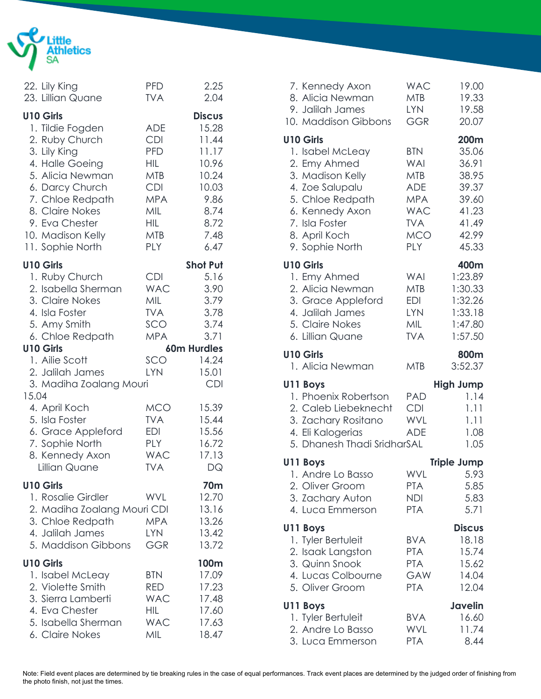

|       | 22. Lily King<br>23. Lillian Quane                                                                                                                                                                                                     | <b>PFD</b><br><b>TVA</b>                                                                                                                        | 2.25<br>2.04                                                                                                         |
|-------|----------------------------------------------------------------------------------------------------------------------------------------------------------------------------------------------------------------------------------------|-------------------------------------------------------------------------------------------------------------------------------------------------|----------------------------------------------------------------------------------------------------------------------|
|       | <b>U10 Girls</b><br>1. Tildie Fogden<br>2. Ruby Church<br>3. Lily King<br>4. Halle Goeing<br>5. Alicia Newman<br>6. Darcy Church<br>7. Chloe Redpath<br>8. Claire Nokes<br>9. Eva Chester<br>10. Madison Kelly<br>11. Sophie North     | <b>ADE</b><br><b>CDI</b><br><b>PFD</b><br><b>HIL</b><br><b>MTB</b><br><b>CDI</b><br><b>MPA</b><br>MIL<br><b>HIL</b><br><b>MTB</b><br><b>PLY</b> | <b>Discus</b><br>15.28<br>11.44<br>11.17<br>10.96<br>10.24<br>10.03<br>9.86<br>8.74<br>8.72<br>7.48<br>6.47          |
|       | <b>U10 Girls</b>                                                                                                                                                                                                                       |                                                                                                                                                 | <b>Shot Put</b>                                                                                                      |
| 15.04 | 1. Ruby Church<br>2. Isabella Sherman<br>3. Claire Nokes<br>4. Isla Foster<br>5. Amy Smith<br>6. Chloe Redpath<br><b>U10 Girls</b><br>1. Ailie Scott<br>2. Jalilah James<br>3. Madiha Zoalang Mouri<br>4. April Koch<br>5. Isla Foster | <b>CDI</b><br><b>WAC</b><br>MIL<br><b>TVA</b><br>SCO<br><b>MPA</b><br>SCO.<br>LYN<br><b>MCO</b><br><b>TVA</b>                                   | 5.16<br>3.90<br>3.79<br>3.78<br>3.74<br>3.71<br><b>60m Hurdles</b><br>14.24<br>15.01<br><b>CDI</b><br>15.39<br>15.44 |
|       | 6. Grace Appleford<br>7. Sophie North<br>8. Kennedy Axon<br>Lillian Quane                                                                                                                                                              | <b>EDI</b><br><b>PLY</b><br><b>WAC</b><br><b>TVA</b>                                                                                            | 15.56<br>16.72<br>17.13<br>DQ                                                                                        |
|       | <b>U10 Girls</b><br>1. Rosalie Girdler<br>2. Madiha Zoalang Mouri CDI<br>3. Chloe Redpath<br>4. Jalilah James<br>5. Maddison Gibbons                                                                                                   | <b>WVL</b><br><b>MPA</b><br><b>LYN</b><br><b>GGR</b>                                                                                            | 70m<br>12.70<br>13.16<br>13.26<br>13.42<br>13.72                                                                     |
|       | <b>U10 Girls</b><br>1. Isabel McLeay<br>2. Violette Smith<br>3. Sierra Lamberti<br>4. Eva Chester<br>5. Isabella Sherman<br>6. Claire Nokes                                                                                            | <b>BTN</b><br><b>RED</b><br><b>WAC</b><br>HIL<br><b>WAC</b><br>MIL                                                                              | 100m<br>17.09<br>17.23<br>17.48<br>17.60<br>17.63<br>18.47                                                           |

| 7. Kennedy Axon<br>8. Alicia Newman<br>9. Jalilah James<br>10. Maddison Gibbons                                                                                                          | <b>WAC</b><br><b>MTB</b><br><b>LYN</b><br><b>GGR</b>                                                                       | 19.00<br>19.33<br>19.58<br>20.07                                                      |
|------------------------------------------------------------------------------------------------------------------------------------------------------------------------------------------|----------------------------------------------------------------------------------------------------------------------------|---------------------------------------------------------------------------------------|
| <b>U10 Girls</b><br>1. Isabel McLeay<br>2. Emy Ahmed<br>3. Madison Kelly<br>4. Zoe Salupalu<br>5. Chloe Redpath<br>6. Kennedy Axon<br>7. Isla Foster<br>8. April Koch<br>9. Sophie North | <b>BTN</b><br><b>WAI</b><br><b>MTB</b><br><b>ADE</b><br><b>MPA</b><br><b>WAC</b><br><b>TVA</b><br><b>MCO</b><br><b>PLY</b> | 200m<br>35.06<br>36.91<br>38.95<br>39.37<br>39.60<br>41.23<br>41.49<br>42.99<br>45.33 |
| <b>U10 Girls</b><br>1. Emy Ahmed<br>2. Alicia Newman<br>3. Grace Appleford<br>4. Jalilah James<br>5. Claire Nokes<br>6. Lillian Quane                                                    | WAI<br>MTB<br>EDI<br><b>LYN</b><br>MIL<br><b>TVA</b>                                                                       | 400m<br>1:23.89<br>1:30.33<br>1:32.26<br>1:33.18<br>1:47.80<br>1:57.50                |
| <b>U10 Girls</b><br>1. Alicia Newman                                                                                                                                                     | <b>MTB</b>                                                                                                                 | 800m<br>3:52.37                                                                       |
| U11 Boys<br>1. Phoenix Robertson<br>2. Caleb Liebeknecht<br>3. Zachary Rositano<br>4. Eli Kalogerias<br>5. Dhanesh Thadi SridharSAL                                                      | <b>PAD</b><br><b>CDI</b><br><b>WVL</b><br><b>ADE</b>                                                                       | <b>High Jump</b><br>1.14<br>1.11<br>1.11<br>1.08<br>1.05                              |
| U11 Boys<br>1. Andre Lo Basso<br>2. Oliver Groom<br>3. Zachary Auton<br>4. Luca Emmerson                                                                                                 | WVL<br><b>PTA</b><br><b>NDI</b><br><b>PTA</b>                                                                              | <b>Triple Jump</b><br>5.93<br>5.85<br>5.83<br>5.71                                    |
| U11 Boys<br>1. Tyler Bertuleit<br>2. Isaak Langston<br>3. Quinn Snook<br>4. Lucas Colbourne<br>5. Oliver Groom                                                                           | <b>BVA</b><br><b>PTA</b><br><b>PTA</b><br>GAW<br><b>PTA</b>                                                                | <b>Discus</b><br>18.18<br>15.74<br>15.62<br>14.04<br>12.04                            |
| U11 Boys<br>1. Tyler Bertuleit<br>2. Andre Lo Basso<br>3. Luca Emmerson                                                                                                                  | <b>BVA</b><br><b>WVL</b><br><b>PTA</b>                                                                                     | <b>Javelin</b><br>16.60<br>11.74<br>8.44                                              |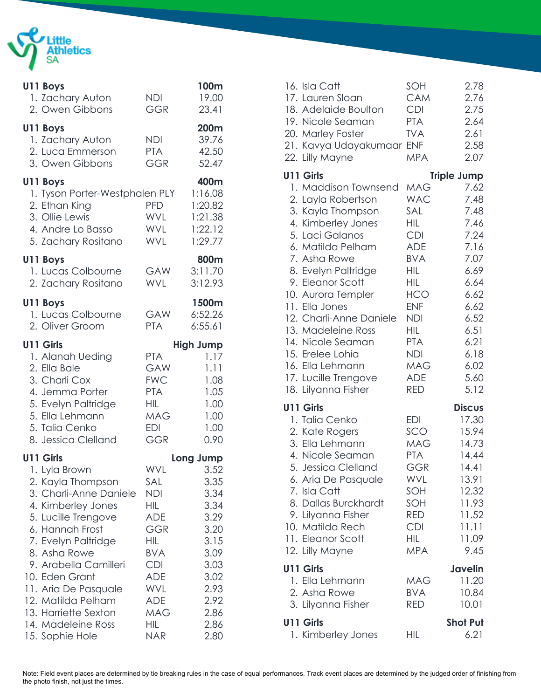

| U11 Boys<br>1. Zachary Auton<br>2. Owen Gibbons                                                                                                                                                                                                                                                                                            | NDI<br><b>GGR</b>                                                                                                                                                                  | 100m<br>19.00<br>23.41                                                                                                            |
|--------------------------------------------------------------------------------------------------------------------------------------------------------------------------------------------------------------------------------------------------------------------------------------------------------------------------------------------|------------------------------------------------------------------------------------------------------------------------------------------------------------------------------------|-----------------------------------------------------------------------------------------------------------------------------------|
| U11 Boys<br>1. Zachary Auton<br>2. Luca Emmerson<br>3. Owen Gibbons                                                                                                                                                                                                                                                                        | <b>NDI</b><br><b>PTA</b><br><b>GGR</b>                                                                                                                                             | 200m<br>39.76<br>42.50<br>52.47                                                                                                   |
| U11 Boys<br>1. Tyson Porter-Westphalen PLY<br>2. Ethan King<br>3. Ollie Lewis<br>4. Andre Lo Basso<br>5. Zachary Rositano                                                                                                                                                                                                                  | PFD.<br>WVL<br>WVL<br><b>WVL</b>                                                                                                                                                   | 400m<br>1:16.08<br>1:20.82<br>1:21.38<br>1:22.12<br>1:29.77                                                                       |
| U11 Boys<br>1. Lucas Colbourne<br>2. Zachary Rositano                                                                                                                                                                                                                                                                                      | GAW<br><b>WVL</b>                                                                                                                                                                  | 800m<br>3:11.70<br>3:12.93                                                                                                        |
| U11 Boys<br>1. Lucas Colbourne<br>2. Oliver Groom                                                                                                                                                                                                                                                                                          | GAW<br><b>PTA</b>                                                                                                                                                                  | 1500m<br>6:52.26<br>6:55.61                                                                                                       |
| <b>U11 Girls</b><br>1. Alanah Ueding<br>2. Ella Bale<br>3. Charli Cox<br>4. Jemma Porter<br>5. Evelyn Paltridge<br>5. Ella Lehmann<br>5. Talia Cenko<br>8. Jessica Clelland                                                                                                                                                                | <b>PTA</b><br>GAW<br><b>FWC</b><br><b>PTA</b><br>HIL<br><b>MAG</b><br>EDI<br><b>GGR</b>                                                                                            | <b>High Jump</b><br>1.17<br>1.11<br>1.08<br>1.05<br>1.00<br>1.00<br>1.00<br>0.90                                                  |
| U11 Girls<br>1. Lyla Brown<br>2. Kayla Thompson<br>3. Charli-Anne Daniele<br>4. Kimberley Jones<br>5. Lucille Trengove<br>6. Hannah Frost<br>7. Evelyn Paltridge<br>8. Asha Rowe<br>9. Arabella Camilleri<br>10. Eden Grant<br>11. Aria De Pasquale<br>12. Matilda Pelham<br>13. Harriette Sexton<br>14. Madeleine Ross<br>15. Sophie Hole | WVL<br>SAL<br><b>NDI</b><br><b>HIL</b><br><b>ADE</b><br>GGR<br><b>HIL</b><br><b>BVA</b><br><b>CDI</b><br><b>ADE</b><br>WVL<br><b>ADE</b><br><b>MAG</b><br><b>HIL</b><br><b>NAR</b> | Long Jump<br>3.52<br>3.35<br>3.34<br>3.34<br>3.29<br>3.20<br>3.15<br>3.09<br>3.03<br>3.02<br>2.93<br>2.92<br>2.86<br>2.86<br>2.80 |

| 16. Isla Catt<br>17. Lauren Sloan<br>18. Adelaide Boulton<br>19. Nicole Seaman<br>20. Marley Foster<br>21. Kavya Udayakumaar ENF<br>22. Lilly Mayne                                                                                                                                                                                                                                           | SOH<br><b>CAM</b><br><b>CDI</b><br><b>PTA</b><br><b>TVA</b><br><b>MPA</b>                                                                                                                                             | 2.78<br>2.76<br>2.75<br>2.64<br>2.61<br>2.58<br>2.07                                                                                         |
|-----------------------------------------------------------------------------------------------------------------------------------------------------------------------------------------------------------------------------------------------------------------------------------------------------------------------------------------------------------------------------------------------|-----------------------------------------------------------------------------------------------------------------------------------------------------------------------------------------------------------------------|----------------------------------------------------------------------------------------------------------------------------------------------|
| <b>U11 Girls</b>                                                                                                                                                                                                                                                                                                                                                                              |                                                                                                                                                                                                                       | <b>Triple Jump</b>                                                                                                                           |
| 1. Maddison Townsend<br>2. Layla Robertson<br>3. Kayla Thompson<br>4. Kimberley Jones<br>5. Laci Galanos<br>6. Matilda Pelham<br>7. Asha Rowe<br>8. Evelyn Paltridge<br>9. Eleanor Scott<br>10. Aurora Templer<br>11. Ella Jones<br>12. Charli-Anne Daniele<br>13. Madeleine Ross<br>14. Nicole Seaman<br>15. Erelee Lohia<br>16. Ella Lehmann<br>17. Lucille Trengove<br>18. Lilyanna Fisher | <b>MAG</b><br><b>WAC</b><br>SAL<br>HIL<br><b>CDI</b><br><b>ADE</b><br><b>BVA</b><br>HIL<br>HIL<br><b>HCO</b><br><b>ENF</b><br><b>NDI</b><br>HIL<br><b>PTA</b><br><b>NDI</b><br><b>MAG</b><br><b>ADE</b><br><b>RED</b> | 7.62<br>7.48<br>7.48<br>7.46<br>7.24<br>7.16<br>7.07<br>6.69<br>6.64<br>6.62<br>6.62<br>6.52<br>6.51<br>6.21<br>6.18<br>6.02<br>5.60<br>5.12 |
| <b>U11 Girls</b>                                                                                                                                                                                                                                                                                                                                                                              |                                                                                                                                                                                                                       | <b>Discus</b>                                                                                                                                |
| 1. Talia Cenko<br>2. Kate Rogers<br>3. Ella Lehmann<br>4. Nicole Seaman<br>5. Jessica Clelland<br>6. Aria De Pasquale<br>7. Isla Catt<br>8. Dallas Burckhardt<br>9. Lilyanna Fisher<br>10. Matilda Rech<br>11. Eleanor Scott<br>12. Lilly Mayne                                                                                                                                               | <b>EDI</b><br>SCO<br><b>MAG</b><br><b>PTA</b><br><b>GGR</b><br>WVL<br>SOH<br>SOH<br>RED<br><b>CDI</b><br><b>HIL</b><br><b>MPA</b>                                                                                     | 17.30<br>15.94<br>14.73<br>14.44<br>14.41<br>13.91<br>12.32<br>11.93<br>11.52<br>11.11<br>11.09<br>9.45                                      |
| <b>U11 Girls</b>                                                                                                                                                                                                                                                                                                                                                                              |                                                                                                                                                                                                                       | Javelin                                                                                                                                      |
| 1. Ella Lehmann<br>2. Asha Rowe<br>3. Lilyanna Fisher                                                                                                                                                                                                                                                                                                                                         | <b>MAG</b><br><b>BVA</b><br>RED                                                                                                                                                                                       | 11.20<br>10.84<br>10.01                                                                                                                      |
| U11 Girls<br>1. Kimberley Jones                                                                                                                                                                                                                                                                                                                                                               | HIL                                                                                                                                                                                                                   | <b>Shot Put</b><br>6.21                                                                                                                      |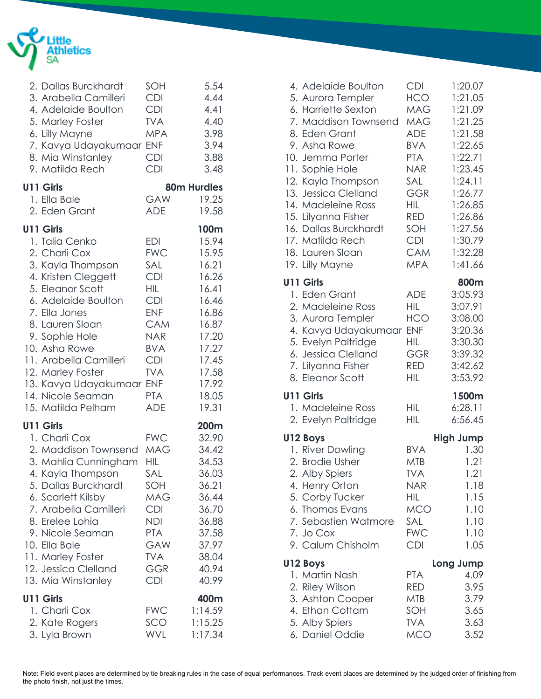

| 2. Dallas Burckhardt<br>3. Arabella Camilleri<br>4. Adelaide Boulton<br>5. Marley Foster<br>6. Lilly Mayne<br>7. Kavya Udayakumaar<br>8. Mia Winstanley<br>9. Matilda Rech                                                                                                                                                           | SOH<br><b>CDI</b><br><b>CDI</b><br><b>TVA</b><br><b>MPA</b><br><b>ENF</b><br><b>CDI</b><br><b>CDI</b>                                                                                                   | 5.54<br>4.44<br>4.41<br>4.40<br>3.98<br>3.94<br>3.88<br>3.48                                                                                |
|--------------------------------------------------------------------------------------------------------------------------------------------------------------------------------------------------------------------------------------------------------------------------------------------------------------------------------------|---------------------------------------------------------------------------------------------------------------------------------------------------------------------------------------------------------|---------------------------------------------------------------------------------------------------------------------------------------------|
| <b>U11 Girls</b><br>1. Ella Bale<br>2. Eden Grant                                                                                                                                                                                                                                                                                    | GAW<br>ADE                                                                                                                                                                                              | <b>80m Hurdles</b><br>19.25<br>19.58                                                                                                        |
| <b>U11 Girls</b><br>1. Talia Cenko<br>2. Charli Cox<br>3. Kayla Thompson<br>4. Kristen Cleggett<br>5. Eleanor Scott<br>6. Adelaide Boulton<br>7. Ella Jones<br>8. Lauren Sloan<br>9. Sophie Hole<br>10. Asha Rowe<br>11. Arabella Camilleri<br>12. Marley Foster<br>13. Kavya Udayakumaar<br>14. Nicole Seaman<br>15. Matilda Pelham | <b>EDI</b><br><b>FWC</b><br>SAL<br><b>CDI</b><br><b>HIL</b><br><b>CDI</b><br><b>ENF</b><br><b>CAM</b><br><b>NAR</b><br><b>BVA</b><br><b>CDI</b><br><b>TVA</b><br><b>ENF</b><br><b>PTA</b><br><b>ADE</b> | 100m<br>15.94<br>15.95<br>16.21<br>16.26<br>16.41<br>16.46<br>16.86<br>16.87<br>17.20<br>17.27<br>17.45<br>17.58<br>17.92<br>18.05<br>19.31 |
| <b>U11 Girls</b><br>1. Charli Cox<br>2. Maddison Townsend<br>3. Mahlia Cunningham<br>4. Kayla Thompson<br>5. Dallas Burckhardt<br>6. Scarlett Kilsby<br>7. Arabella Camilleri<br>8. Erelee Lohia<br>9. Nicole Seaman<br>10. Ella Bale<br>11. Marley Foster<br>12. Jessica Clelland<br>13. Mia Winstanley                             | <b>FWC</b><br><b>MAG</b><br>HIL<br>SAL<br>SOH<br><b>MAG</b><br><b>CDI</b><br><b>NDI</b><br><b>PTA</b><br>GAW<br><b>TVA</b><br>GGR<br><b>CDI</b>                                                         | 200m<br>32.90<br>34.42<br>34.53<br>36.03<br>36.21<br>36.44<br>36.70<br>36.88<br>37.58<br>37.97<br>38.04<br>40.94<br>40.99                   |
| <b>U11 Girls</b><br>1. Charli Cox<br>2. Kate Rogers<br>3. Lyla Brown                                                                                                                                                                                                                                                                 | <b>FWC</b><br>SCO<br>WVL                                                                                                                                                                                | 400m<br>1:14.59<br>1:15.25<br>1:17.34                                                                                                       |

| 4. Adelaide Boulton<br>5. Aurora Templer<br>6. Harriette Sexton<br>7. Maddison Townsend<br>8. Eden Grant<br>9. Asha Rowe<br>10. Jemma Porter<br>11. Sophie Hole<br>12. Kayla Thompson<br>13. Jessica Clelland<br>14. Madeleine Ross<br>15. Lilyanna Fisher<br>16. Dallas Burckhardt<br>17. Matilda Rech<br>18. Lauren Sloan<br>19. Lilly Mayne | <b>CDI</b><br><b>HCO</b><br><b>MAG</b><br><b>MAG</b><br><b>ADE</b><br><b>BVA</b><br><b>PTA</b><br><b>NAR</b><br>SAL<br>GGR<br><b>HIL</b><br><b>RED</b><br>SOH<br><b>CDI</b><br><b>CAM</b><br><b>MPA</b> | 1:20.07<br>1:21.05<br>1:21.09<br>1:21.25<br>1:21.58<br>1:22.65<br>1:22.71<br>1:23.45<br>1:24.11<br>1:26.77<br>1:26.85<br>1:26.86<br>1:27.56<br>1:30.79<br>1:32.28<br>1:41.66 |
|------------------------------------------------------------------------------------------------------------------------------------------------------------------------------------------------------------------------------------------------------------------------------------------------------------------------------------------------|---------------------------------------------------------------------------------------------------------------------------------------------------------------------------------------------------------|------------------------------------------------------------------------------------------------------------------------------------------------------------------------------|
| <b>U11 Girls</b>                                                                                                                                                                                                                                                                                                                               |                                                                                                                                                                                                         | 800m                                                                                                                                                                         |
| 1. Eden Grant<br>2. Madeleine Ross<br>3. Aurora Templer<br>4. Kavya Udayakumaar ENF<br>5. Evelyn Paltridge<br>6. Jessica Clelland<br>7. Lilyanna Fisher<br>8. Eleanor Scott                                                                                                                                                                    | <b>ADE</b><br>HIL<br><b>HCO</b><br><b>HIL</b><br><b>GGR</b><br><b>RED</b><br><b>HIL</b>                                                                                                                 | 3:05.93<br>3:07.91<br>3:08.00<br>3:20.36<br>3:30.30<br>3:39.32<br>3:42.62<br>3:53.92                                                                                         |
| <b>U11 Girls</b>                                                                                                                                                                                                                                                                                                                               |                                                                                                                                                                                                         | 1500m                                                                                                                                                                        |
| 1. Madeleine Ross<br>2. Evelyn Paltridge                                                                                                                                                                                                                                                                                                       | HIL<br><b>HIL</b>                                                                                                                                                                                       | 6:28.11<br>6:56.45                                                                                                                                                           |
| U12 Boys                                                                                                                                                                                                                                                                                                                                       |                                                                                                                                                                                                         | <b>High Jump</b>                                                                                                                                                             |
| 1. River Dowling                                                                                                                                                                                                                                                                                                                               | <b>BVA</b>                                                                                                                                                                                              | 1.30                                                                                                                                                                         |
| 2. Brodie Usher                                                                                                                                                                                                                                                                                                                                | <b>MTB</b><br><b>TVA</b>                                                                                                                                                                                | 1.21<br>1.21                                                                                                                                                                 |
| 2. Alby Spiers<br>4. Henry Orton                                                                                                                                                                                                                                                                                                               | NAR                                                                                                                                                                                                     | 1.18                                                                                                                                                                         |
| 5. Corby Tucker                                                                                                                                                                                                                                                                                                                                | HIL                                                                                                                                                                                                     | 1.15                                                                                                                                                                         |
| 6. Thomas Evans                                                                                                                                                                                                                                                                                                                                | <b>MCO</b>                                                                                                                                                                                              | 1.10                                                                                                                                                                         |
| 7. Sebastien Watmore                                                                                                                                                                                                                                                                                                                           | SAL                                                                                                                                                                                                     | 1.10                                                                                                                                                                         |
| 7. Jo Cox                                                                                                                                                                                                                                                                                                                                      | <b>FWC</b>                                                                                                                                                                                              | 1.10                                                                                                                                                                         |
| 9. Calum Chisholm                                                                                                                                                                                                                                                                                                                              | <b>CDI</b>                                                                                                                                                                                              | 1.05                                                                                                                                                                         |
| U12 Boys                                                                                                                                                                                                                                                                                                                                       |                                                                                                                                                                                                         | Long Jump                                                                                                                                                                    |
| 1. Martin Nash                                                                                                                                                                                                                                                                                                                                 | <b>PTA</b>                                                                                                                                                                                              | 4.09                                                                                                                                                                         |
| 2. Riley Wilson<br>3. Ashton Cooper                                                                                                                                                                                                                                                                                                            | <b>RED</b><br><b>MTB</b>                                                                                                                                                                                | 3.95<br>3.79                                                                                                                                                                 |
| 4. Ethan Cottam                                                                                                                                                                                                                                                                                                                                | SOH                                                                                                                                                                                                     | 3.65                                                                                                                                                                         |
| 5. Alby Spiers                                                                                                                                                                                                                                                                                                                                 | <b>TVA</b>                                                                                                                                                                                              | 3.63                                                                                                                                                                         |
| 6. Daniel Oddie                                                                                                                                                                                                                                                                                                                                | <b>MCO</b>                                                                                                                                                                                              | 3.52                                                                                                                                                                         |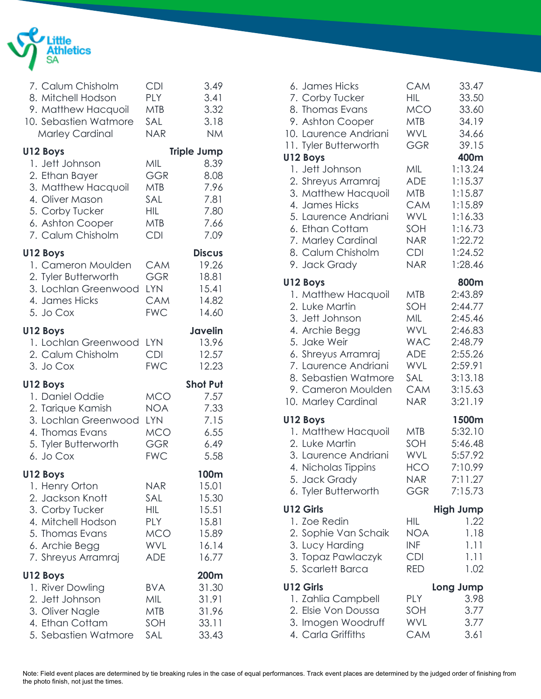

| 7. Calum Chisholm<br>8. Mitchell Hodson<br>9. Matthew Hacquoil<br>10. Sebastien Watmore<br><b>Marley Cardinal</b>                                   | <b>CDI</b><br><b>PLY</b><br><b>MTB</b><br>SAL<br><b>NAR</b>                      | 3.49<br>3.41<br>3.32<br>3.18<br><b>NM</b>                                  |
|-----------------------------------------------------------------------------------------------------------------------------------------------------|----------------------------------------------------------------------------------|----------------------------------------------------------------------------|
| U12 Boys<br>1. Jett Johnson<br>2. Ethan Bayer<br>3. Matthew Hacquoil<br>4. Oliver Mason<br>5. Corby Tucker<br>6. Ashton Cooper<br>7. Calum Chisholm | MIL<br>GGR<br><b>MTB</b><br>SAL<br><b>HIL</b><br>MTB<br><b>CDI</b>               | <b>Triple Jump</b><br>8.39<br>8.08<br>7.96<br>7.81<br>7.80<br>7.66<br>7.09 |
| U12 Boys<br>1. Cameron Moulden<br>2. Tyler Butterworth<br>3. Lochlan Greenwood<br>4. James Hicks<br>5. Jo Cox                                       | CAM<br><b>GGR</b><br><b>LYN</b><br><b>CAM</b><br><b>FWC</b>                      | <b>Discus</b><br>19.26<br>18.81<br>15.41<br>14.82<br>14.60                 |
| U12 Boys<br>1. Lochlan Greenwood<br>2. Calum Chisholm<br>3. Jo Cox                                                                                  | <b>LYN</b><br><b>CDI</b><br><b>FWC</b>                                           | <b>Javelin</b><br>13.96<br>12.57<br>12.23                                  |
| U12 Boys<br>1. Daniel Oddie<br>2. Tarique Kamish<br>3. Lochlan Greenwood<br>4. Thomas Evans<br>5. Tyler Butterworth<br>6. Jo Cox                    | <b>MCO</b><br>NOA<br><b>LYN</b><br><b>MCO</b><br><b>GGR</b><br><b>FWC</b>        | <b>Shot Put</b><br>7.57<br>7.33<br>7.15<br>6.55<br>6.49<br>5.58            |
| U12 Boys<br>1. Henry Orton<br>2. Jackson Knott<br>3. Corby Tucker<br>4. Mitchell Hodson<br>5. Thomas Evans<br>6. Archie Begg<br>7. Shreyus Arramraj | <b>NAR</b><br>SAL<br>HIL<br><b>PLY</b><br><b>MCO</b><br><b>WVL</b><br><b>ADE</b> | 100m<br>15.01<br>15.30<br>15.51<br>15.81<br>15.89<br>16.14<br>16.77        |
| U12 Boys<br>1. River Dowling<br>2. Jett Johnson<br>3. Oliver Nagle<br>4. Ethan Cottam<br>5. Sebastien Watmore                                       | <b>BVA</b><br>MIL<br><b>MTB</b><br>SOH<br>SAL                                    | 200m<br>31.30<br>31.91<br>31.96<br>33.11<br>33.43                          |

| 6. James Hicks<br>7. Corby Tucker<br>8. Thomas Evans<br>9. Ashton Cooper<br>10. Laurence Andriani<br>11. Tyler Butterworth<br>U12 Boys                                                                                     | <b>CAM</b><br>HIL<br><b>MCO</b><br><b>MTB</b><br>WVL<br><b>GGR</b>                                    | 33.47<br>33.50<br>33.60<br>34.19<br>34.66<br>39.15<br>400m                                                         |
|----------------------------------------------------------------------------------------------------------------------------------------------------------------------------------------------------------------------------|-------------------------------------------------------------------------------------------------------|--------------------------------------------------------------------------------------------------------------------|
| 1. Jett Johnson<br>2. Shreyus Arramraj<br>3. Matthew Hacquoil<br>4. James Hicks<br>5. Laurence Andriani<br>6. Ethan Cottam<br>7. Marley Cardinal<br>8. Calum Chisholm<br>9. Jack Grady                                     | MIL<br><b>ADE</b><br>MTB<br><b>CAM</b><br>WVL<br>SOH<br>NAR.<br><b>CDI</b><br><b>NAR</b>              | 1:13.24<br>1:15.37<br>1:15.87<br>1:15.89<br>1:16.33<br>1:16.73<br>1:22.72<br>1:24.52<br>1:28.46                    |
| U12 Boys<br>1. Matthew Hacquoil<br>2. Luke Martin<br>3. Jett Johnson<br>4. Archie Begg<br>5. Jake Weir<br>6. Shreyus Arramraj<br>7. Laurence Andriani<br>8. Sebastien Watmore<br>9. Cameron Moulden<br>10. Marley Cardinal | MTB<br>SOH<br>MIL<br><b>WVL</b><br><b>WAC</b><br><b>ADE</b><br>WVL<br>SAL<br><b>CAM</b><br><b>NAR</b> | 800m<br>2:43.89<br>2:44.77<br>2:45.46<br>2:46.83<br>2:48.79<br>2:55.26<br>2:59.91<br>3:13.18<br>3:15.63<br>3:21.19 |
| U12 Boys<br>1. Matthew Hacquoil<br>2. Luke Martin<br>3. Laurence Andriani<br>4. Nicholas Tippins<br>5. Jack Grady<br>6. Tyler Butterworth                                                                                  | MTB<br>SOH<br>WVL<br><b>HCO</b><br>NAR<br><b>GGR</b>                                                  | 1500m<br>5:32.10<br>5:46.48<br>5:57.92<br>7:10.99<br>7:11.27<br>7:15.73                                            |
| <b>U12 Girls</b><br>1. Zoe Redin<br>2. Sophie Van Schaik<br>3. Lucy Harding<br>3. Topaz Pawlaczyk<br>5. Scarlett Barca                                                                                                     | НIL<br><b>NOA</b><br><b>INF</b><br><b>CDI</b><br><b>RED</b>                                           | <b>High Jump</b><br>1.22<br>1.18<br>1.11<br>1.11<br>1.02                                                           |
| <b>U12 Girls</b><br>1. Zahlia Campbell<br>2. Elsie Von Doussa<br>3. Imogen Woodruff<br>4. Carla Griffiths                                                                                                                  | PLY<br>SOH<br><b>WVL</b><br>CAM                                                                       | Long Jump<br>3.98<br>3.77<br>3.77<br>3.61                                                                          |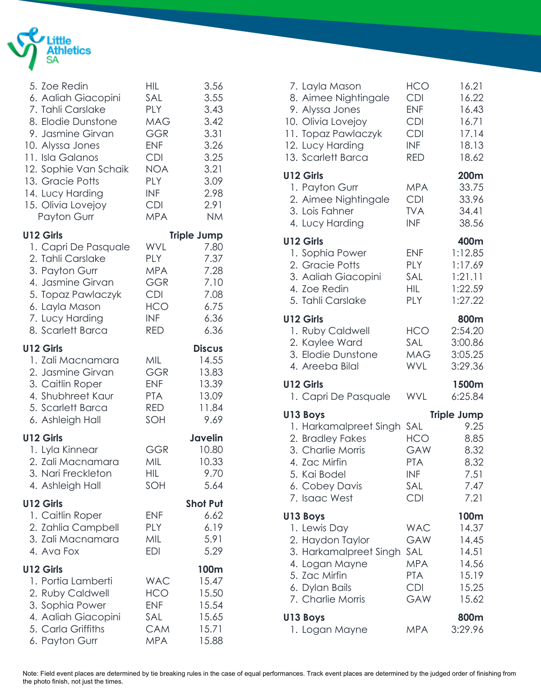

| 5. Zoe Redin<br>6. Aaliah Giacopini<br>7. Tahli Carslake<br>8. Elodie Dunstone<br>9. Jasmine Girvan<br>10. Alyssa Jones<br>11. Isla Galanos<br>12. Sophie Van Schaik<br>13. Gracie Potts<br>14. Lucy Harding<br>15. Olivia Lovejoy<br>Payton Gurr | <b>HIL</b><br>SAL<br><b>PLY</b><br>MAG<br><b>GGR</b><br><b>ENF</b><br><b>CDI</b><br>NOA<br><b>PLY</b><br><b>INF</b><br><b>CDI</b><br><b>MPA</b> | 3.56<br>3.55<br>3.43<br>3.42<br>3.31<br>3.26<br>3.25<br>3.21<br>3.09<br>2.98<br>2.91<br><b>NM</b> |
|---------------------------------------------------------------------------------------------------------------------------------------------------------------------------------------------------------------------------------------------------|-------------------------------------------------------------------------------------------------------------------------------------------------|---------------------------------------------------------------------------------------------------|
| <b>U12 Girls</b><br>1. Capri De Pasquale<br>2. Tahli Carslake<br>3. Payton Gurr<br>4. Jasmine Girvan<br>5. Topaz Pawlaczyk<br>6. Layla Mason<br>7. Lucy Harding<br>8. Scarlett Barca                                                              | WVL<br><b>PLY</b><br><b>MPA</b><br>GGR<br><b>CDI</b><br><b>HCO</b><br><b>INF</b><br>RED                                                         | <b>Triple Jump</b><br>7.80<br>7.37<br>7.28<br>7.10<br>7.08<br>6.75<br>6.36<br>6.36                |
| U12 Girls<br>1. Zali Macnamara<br>2. Jasmine Girvan<br>3. Caitlin Roper<br>4. Shubhreet Kaur<br>5. Scarlett Barca<br>6. Ashleigh Hall                                                                                                             | MIL<br><b>GGR</b><br><b>ENF</b><br><b>PTA</b><br>RED<br>SOH                                                                                     | <b>Discus</b><br>14.55<br>13.83<br>13.39<br>13.09<br>11.84<br>9.69                                |
| <b>U12 Girls</b><br>1. Lyla Kinnear<br>2. Zali Macnamara<br>3. Nari Freckleton<br>4. Ashleigh Hall                                                                                                                                                | <b>GGR</b><br>MIL<br>HIL<br>SOH                                                                                                                 | <b>Javelin</b><br>10.80<br>10.33<br>9.70<br>5.64                                                  |
| U12 Girls<br>1. Caitlin Roper<br>2. Zahlia Campbell<br>3. Zali Macnamara<br>4. Ava Fox                                                                                                                                                            | <b>ENF</b><br>PLY<br>MIL<br><b>EDI</b>                                                                                                          | <b>Shot Put</b><br>6.62<br>6.19<br>5.91<br>5.29                                                   |
| U12 Girls<br>1. Portia Lamberti<br>2. Ruby Caldwell<br>3. Sophia Power<br>4. Aaliah Giacopini<br>5. Carla Griffiths<br>6. Payton Gurr                                                                                                             | <b>WAC</b><br>HCO<br><b>ENF</b><br>SAL<br><b>CAM</b><br><b>MPA</b>                                                                              | 100m<br>15.47<br>15.50<br>15.54<br>15.65<br>15.71<br>15.88                                        |

| 7. Layla Mason<br>8. Aimee Nightingale<br>9. Alyssa Jones<br>10. Olivia Lovejoy<br>11. Topaz Pawlaczyk<br>12. Lucy Harding<br>13. Scarlett Barca | <b>HCO</b><br><b>CDI</b><br><b>ENF</b><br><b>CDI</b><br><b>CDI</b><br><b>INF</b><br><b>RED</b> | 16.21<br>16.22<br>16.43<br>16.71<br>17.14<br>18.13<br>18.62                |
|--------------------------------------------------------------------------------------------------------------------------------------------------|------------------------------------------------------------------------------------------------|----------------------------------------------------------------------------|
| <b>U12 Girls</b><br>1. Payton Gurr<br>2. Aimee Nightingale<br>3. Lois Fahner<br>4. Lucy Harding                                                  | <b>MPA</b><br><b>CDI</b><br><b>TVA</b><br><b>INF</b>                                           | 200m<br>33.75<br>33.96<br>34.41<br>38.56                                   |
| U12 Girls<br>1. Sophia Power<br>2. Gracie Potts<br>3. Aaliah Giacopini<br>4. Zoe Redin<br>5. Tahli Carslake                                      | <b>ENF</b><br><b>PLY</b><br>SAL<br><b>HIL</b><br><b>PLY</b>                                    | 400m<br>1:12.85<br>1:17.69<br>1:21.11<br>1:22.59<br>1:27.22                |
| <b>U12 Girls</b><br>1. Ruby Caldwell<br>2. Kaylee Ward<br>3. Elodie Dunstone<br>4. Areeba Bilal                                                  | <b>HCO</b><br>SAL<br><b>MAG</b><br><b>WVL</b>                                                  | 800m<br>2:54.20<br>3:00.86<br>3:05.25<br>3:29.36                           |
| <b>U12 Girls</b><br>1. Capri De Pasquale                                                                                                         | WVL                                                                                            | 1500m<br>6:25.84                                                           |
| U13 Boys<br>1. Harkamalpreet Singh<br>2. Bradley Fakes<br>3. Charlie Morris<br>4. Zac Mirfin<br>5. Kai Bodel<br>6. Cobey Davis<br>7. Isaac West  | SAL<br><b>HCO</b><br>GAW<br><b>PTA</b><br>INF<br>SAL<br><b>CDI</b>                             | <b>Triple Jump</b><br>9.25<br>8.85<br>8.32<br>8.32<br>7.51<br>7.47<br>7.21 |
| U13 Boys<br>1. Lewis Day<br>2. Haydon Taylor<br>3. Harkamalpreet Singh<br>4. Logan Mayne<br>5. Zac Mirfin<br>6. Dylan Bails<br>7. Charlie Morris | <b>WAC</b><br>GAW<br><b>SAL</b><br><b>MPA</b><br><b>PTA</b><br><b>CDI</b><br>GAW               | 100m<br>14.37<br>14.45<br>14.51<br>14.56<br>15.19<br>15.25<br>15.62        |
| U13 Boys<br>1. Logan Mayne                                                                                                                       | <b>MPA</b>                                                                                     | 800m<br>3:29.96                                                            |

Note: Field event places are determined by tie breaking rules in the case of equal performances. Track event places are determined by the judged order of finishing from the photo finish, not just the times.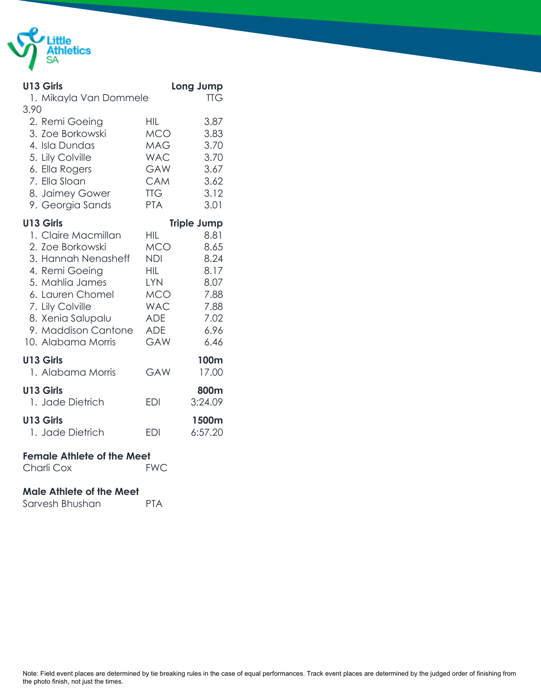

| <b>U13 Girls</b>                  |                          | Long Jump          |
|-----------------------------------|--------------------------|--------------------|
| 1. Mikayla Van Dommele            |                          | <b>TTG</b>         |
| 3.90                              |                          |                    |
| 2. Remi Goeing                    | HIL                      | 3.87               |
| 3. Zoe Borkowski                  | <b>MCO</b>               | 3.83               |
| 4. Isla Dundas                    | MAG                      | 3.70               |
| 5. Lily Colville                  | <b>WAC</b>               | 3.70               |
| 6. Ella Rogers<br>7. Ella Sloan   | GAW                      | 3.67               |
| 8. Jaimey Gower                   | <b>CAM</b><br><b>TTG</b> | 3.62<br>3.12       |
| 9. Georgia Sands                  | <b>PTA</b>               | 3.01               |
|                                   |                          |                    |
| U13 Girls                         |                          | <b>Triple Jump</b> |
| 1. Claire Macmillan               | HIL                      | 8.81               |
| 2. Zoe Borkowski                  | MCO                      | 8.65               |
| 3. Hannah Nenasheff               | <b>NDI</b>               | 8.24               |
| 4. Remi Goeing<br>5. Mahlia James | <b>HIL</b><br><b>LYN</b> | 8.17<br>8.07       |
| 6. Lauren Chomel                  | MCO                      | 7.88               |
| 7. Lily Colville                  | <b>WAC</b>               | 7.88               |
| 8. Xenia Salupalu                 | <b>ADE</b>               | 7.02               |
| 9. Maddison Cantone               | <b>ADE</b>               | 6.96               |
| 10. Alabama Morris                | <b>GAW</b>               | 6.46               |
|                                   |                          |                    |
| U13 Girls<br>1. Alabama Morris    | <b>GAW</b>               | 100m<br>17.00      |
|                                   |                          |                    |
| <b>U13 Girls</b>                  |                          | 800m               |
| 1. Jade Dietrich                  | <b>EDI</b>               | 3:24.09            |
| <b>U13 Girls</b>                  |                          | 1500m              |
| 1. Jade Dietrich                  | <b>EDI</b>               | 6:57.20            |
|                                   |                          |                    |
| <b>Female Athlete of the Meet</b> |                          |                    |

Charli Cox FWC

## **Male Athlete of the Meet**

| Sarvesh Bhushan | <b>PTA</b> |
|-----------------|------------|
|                 |            |